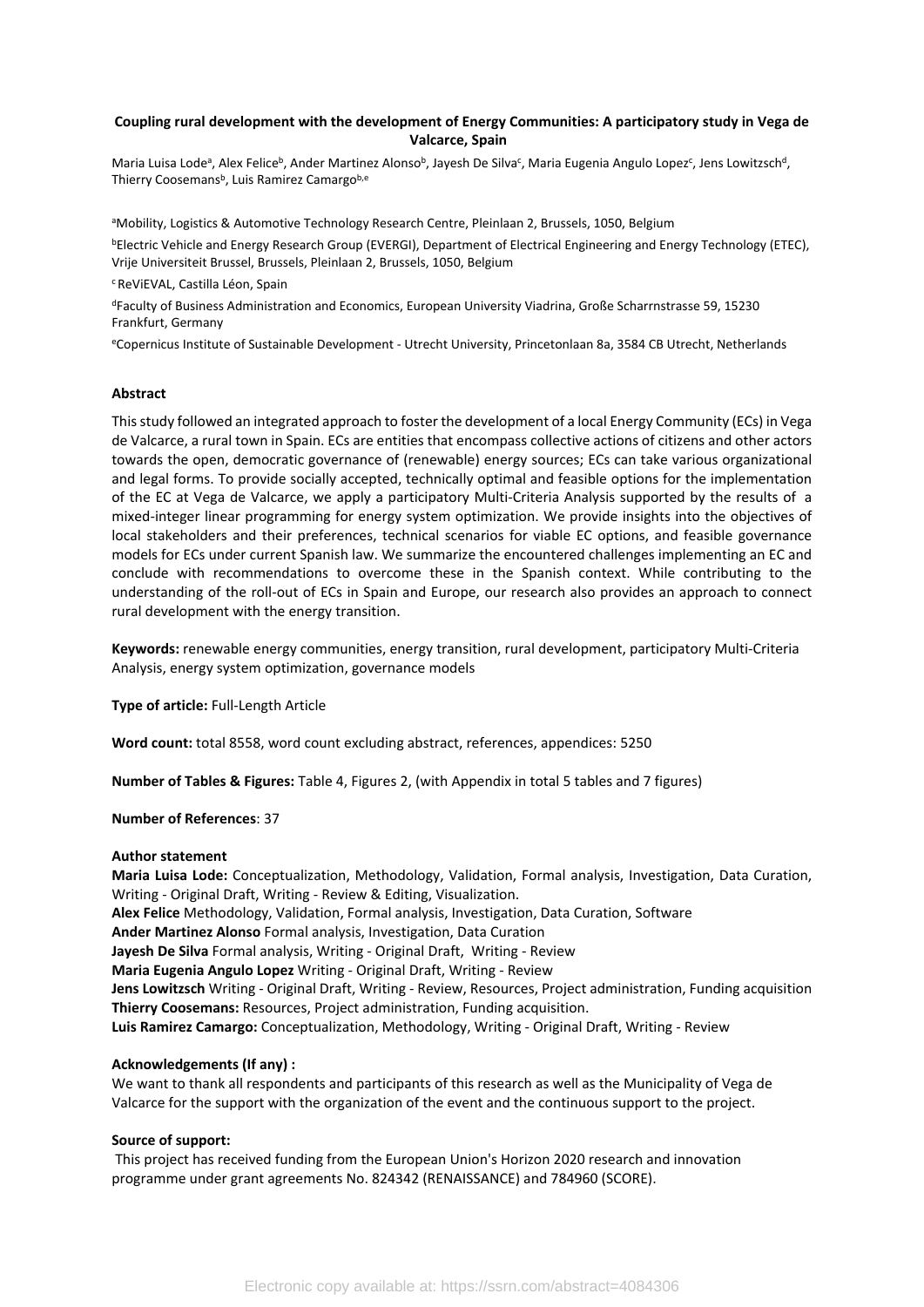#### **Coupling rural development with the development of Energy Communities: A participatory study in Vega de Valcarce, Spain**

Maria Luisa Lode<sup>a</sup>, Alex Felice<sup>b</sup>, Ander Martinez Alonso<sup>b</sup>, Jayesh De Silva<sup>c</sup>, Maria Eugenia Angulo Lopez<sup>c</sup>, Jens Lowitzsch<sup>d</sup>, Thierry Coosemans<sup>b</sup>, Luis Ramirez Camargo<sup>b,e</sup>

aMobility, Logistics & Automotive Technology Research Centre, Pleinlaan 2, Brussels, 1050, Belgium

<sup>b</sup>Electric Vehicle and Energy Research Group (EVERGI), Department of Electrical Engineering and Energy Technology (ETEC), Vrije Universiteit Brussel, Brussels, Pleinlaan 2, Brussels, 1050, Belgium

#### <sup>c</sup> ReViEVAL, Castilla Léon, Spain

<sup>d</sup>Faculty of Business Administration and Economics, European University Viadrina, Große Scharrnstrasse 59, 15230 Frankfurt, Germany

<sup>e</sup>Copernicus Institute of Sustainable Development - Utrecht University, Princetonlaan 8a, 3584 CB Utrecht, Netherlands

#### **Abstract**

This study followed an integrated approach to foster the development of a local Energy Community (ECs) in Vega de Valcarce, a rural town in Spain. ECs are entities that encompass collective actions of citizens and other actors towards the open, democratic governance of (renewable) energy sources; ECs can take various organizational and legal forms. To provide socially accepted, technically optimal and feasible options for the implementation of the EC at Vega de Valcarce, we apply a participatory Multi-Criteria Analysis supported by the results of a mixed-integer linear programming for energy system optimization. We provide insights into the objectives of local stakeholders and their preferences, technical scenarios for viable EC options, and feasible governance models for ECs under current Spanish law. We summarize the encountered challenges implementing an EC and conclude with recommendations to overcome these in the Spanish context. While contributing to the understanding of the roll-out of ECs in Spain and Europe, our research also provides an approach to connect rural development with the energy transition.

**Keywords:** renewable energy communities, energy transition, rural development, participatory Multi-Criteria Analysis, energy system optimization, governance models

**Type of article:** Full-Length Article

**Word count:** total 8558, word count excluding abstract, references, appendices: 5250

**Number of Tables & Figures:** Table 4, Figures 2, (with Appendix in total 5 tables and 7 figures)

#### **Number of References**: 37

#### **Author statement**

**Maria Luisa Lode:** Conceptualization, Methodology, Validation, Formal analysis, Investigation, Data Curation, Writing - Original Draft, Writing - Review & Editing, Visualization. **Alex Felice** Methodology, Validation, Formal analysis, Investigation, Data Curation, Software **Ander Martinez Alonso** Formal analysis, Investigation, Data Curation **Jayesh De Silva** Formal analysis, Writing - Original Draft, Writing - Review **Maria Eugenia Angulo Lopez** Writing - Original Draft, Writing - Review **Jens Lowitzsch** Writing - Original Draft, Writing - Review, Resources, Project administration, Funding acquisition **Thierry Coosemans:** Resources, Project administration, Funding acquisition. **Luis Ramirez Camargo:** Conceptualization, Methodology, Writing - Original Draft, Writing - Review

#### **Acknowledgements (If any) :**

We want to thank all respondents and participants of this research as well as the Municipality of Vega de Valcarce for the support with the organization of the event and the continuous support to the project.

#### **Source of support:**

 This project has received funding from the European Union's Horizon 2020 research and innovation programme under grant agreements No. 824342 (RENAISSANCE) and 784960 (SCORE).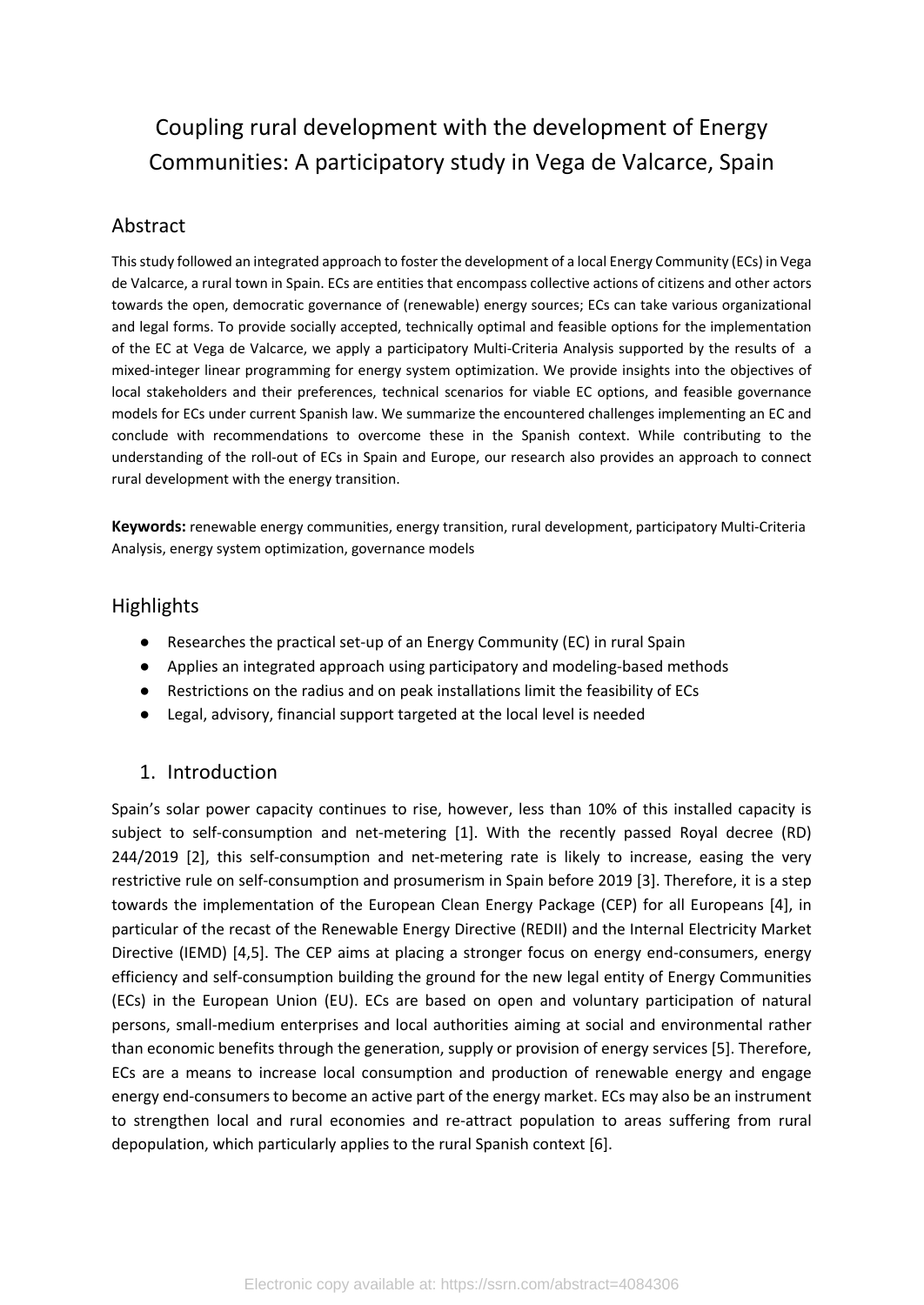# Coupling rural development with the development of Energy Communities: A participatory study in Vega de Valcarce, Spain

#### Abstract

This study followed an integrated approach to foster the development of a local Energy Community (ECs) in Vega de Valcarce, a rural town in Spain. ECs are entities that encompass collective actions of citizens and other actors towards the open, democratic governance of (renewable) energy sources; ECs can take various organizational and legal forms. To provide socially accepted, technically optimal and feasible options for the implementation of the EC at Vega de Valcarce, we apply a participatory Multi-Criteria Analysis supported by the results of a mixed-integer linear programming for energy system optimization. We provide insights into the objectives of local stakeholders and their preferences, technical scenarios for viable EC options, and feasible governance models for ECs under current Spanish law. We summarize the encountered challenges implementing an EC and conclude with recommendations to overcome these in the Spanish context. While contributing to the understanding of the roll-out of ECs in Spain and Europe, our research also provides an approach to connect rural development with the energy transition.

**Keywords:** renewable energy communities, energy transition, rural development, participatory Multi-Criteria Analysis, energy system optimization, governance models

### **Highlights**

- Researches the practical set-up of an Energy Community (EC) in rural Spain
- Applies an integrated approach using participatory and modeling-based methods
- Restrictions on the radius and on peak installations limit the feasibility of ECs
- Legal, advisory, financial support targeted at the local level is needed

### 1. Introduction

Spain's solar power capacity continues to rise, however, less than 10% of this installed capacity is subject to self-consumption and net-metering [1]. With the recently passed Royal decree (RD) 244/2019 [2], this self-consumption and net-metering rate is likely to increase, easing the very restrictive rule on self-consumption and prosumerism in Spain before 2019 [3]. Therefore, it is a step towards the implementation of the European Clean Energy Package (CEP) for all Europeans [4], in particular of the recast of the Renewable Energy Directive (REDII) and the Internal Electricity Market Directive (IEMD) [4,5]. The CEP aims at placing a stronger focus on energy end-consumers, energy efficiency and self-consumption building the ground for the new legal entity of Energy Communities (ECs) in the European Union (EU). ECs are based on open and voluntary participation of natural persons, small-medium enterprises and local authorities aiming at social and environmental rather than economic benefits through the generation, supply or provision of energy services [5]. Therefore, ECs are a means to increase local consumption and production of renewable energy and engage energy end-consumers to become an active part of the energy market. ECs may also be an instrument to strengthen local and rural economies and re-attract population to areas suffering from rural depopulation, which particularly applies to the rural Spanish context [6].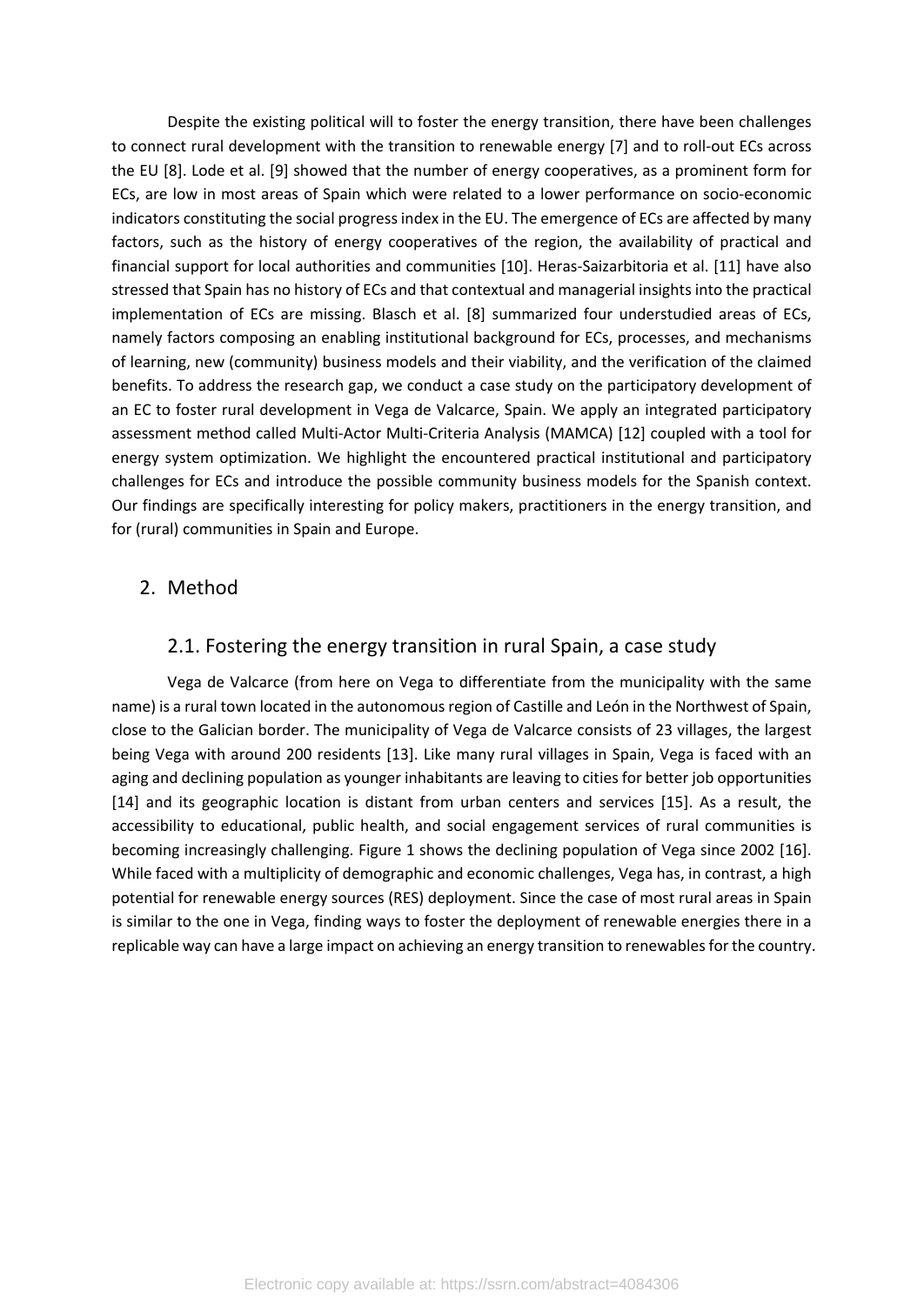Despite the existing political will to foster the energy transition, there have been challenges to connect rural development with the transition to renewable energy [7] and to roll-out ECs across the EU [8]. Lode et al. [9] showed that the number of energy cooperatives, as a prominent form for ECs, are low in most areas of Spain which were related to a lower performance on socio-economic indicators constituting the social progress index in the EU. The emergence of ECs are affected by many factors, such as the history of energy cooperatives of the region, the availability of practical and financial support for local authorities and communities [10]. Heras-Saizarbitoria et al. [11] have also stressed that Spain has no history of ECs and that contextual and managerial insights into the practical implementation of ECs are missing. Blasch et al. [8] summarized four understudied areas of ECs, namely factors composing an enabling institutional background for ECs, processes, and mechanisms of learning, new (community) business models and their viability, and the verification of the claimed benefits. To address the research gap, we conduct a case study on the participatory development of an EC to foster rural development in Vega de Valcarce, Spain. We apply an integrated participatory assessment method called Multi-Actor Multi-Criteria Analysis (MAMCA) [12] coupled with a tool for energy system optimization. We highlight the encountered practical institutional and participatory challenges for ECs and introduce the possible community business models for the Spanish context. Our findings are specifically interesting for policy makers, practitioners in the energy transition, and for (rural) communities in Spain and Europe.

#### 2. Method

#### 2.1. Fostering the energy transition in rural Spain, a case study

Vega de Valcarce (from here on Vega to differentiate from the municipality with the same name) is a rural town located in the autonomous region of Castille and León in the Northwest of Spain, close to the Galician border. The municipality of Vega de Valcarce consists of 23 villages, the largest being Vega with around 200 residents [13]. Like many rural villages in Spain, Vega is faced with an aging and declining population as younger inhabitants are leaving to cities for better job opportunities [14] and its geographic location is distant from urban centers and services [15]. As a result, the accessibility to educational, public health, and social engagement services of rural communities is becoming increasingly challenging. [Figure 1](#page-3-0) shows the declining population of Vega since 2002 [16]. While faced with a multiplicity of demographic and economic challenges, Vega has, in contrast, a high potential for renewable energy sources (RES) deployment. Since the case of most rural areas in Spain is similar to the one in Vega, finding ways to foster the deployment of renewable energies there in a replicable way can have a large impact on achieving an energy transition to renewables for the country.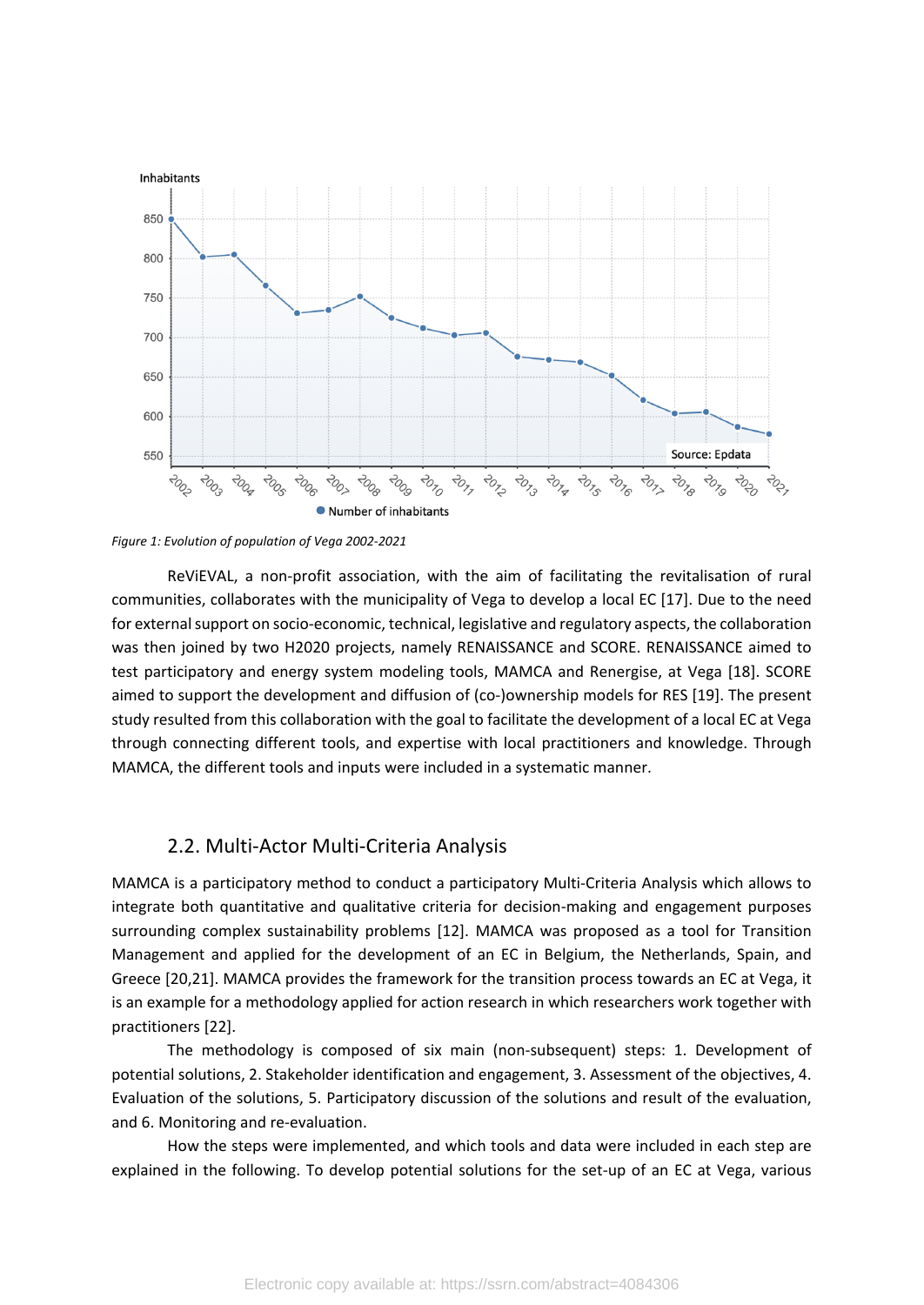

<span id="page-3-0"></span>

ReViEVAL, a non-profit association, with the aim of facilitating the revitalisation of rural communities, collaborates with the municipality of Vega to develop a local EC [17]. Due to the need for external support on socio-economic, technical, legislative and regulatory aspects, the collaboration was then joined by two H2020 projects, namely RENAISSANCE and SCORE. RENAISSANCE aimed to test participatory and energy system modeling tools, MAMCA and Renergise, at Vega [18]. SCORE aimed to support the development and diffusion of (co-)ownership models for RES [19]. The present study resulted from this collaboration with the goal to facilitate the development of a local EC at Vega through connecting different tools, and expertise with local practitioners and knowledge. Through MAMCA, the different tools and inputs were included in a systematic manner.

#### 2.2. Multi-Actor Multi-Criteria Analysis

MAMCA is a participatory method to conduct a participatory Multi-Criteria Analysis which allows to integrate both quantitative and qualitative criteria for decision-making and engagement purposes surrounding complex sustainability problems [12]. MAMCA was proposed as a tool for Transition Management and applied for the development of an EC in Belgium, the Netherlands, Spain, and Greece [20,21]. MAMCA provides the framework for the transition process towards an EC at Vega, it is an example for a methodology applied for action research in which researchers work together with practitioners [22].

The methodology is composed of six main (non-subsequent) steps: 1. Development of potential solutions, 2. Stakeholder identification and engagement, 3. Assessment of the objectives, 4. Evaluation of the solutions, 5. Participatory discussion of the solutions and result of the evaluation, and 6. Monitoring and re-evaluation.

How the steps were implemented, and which tools and data were included in each step are explained in the following. To develop potential solutions for the set-up of an EC at Vega, various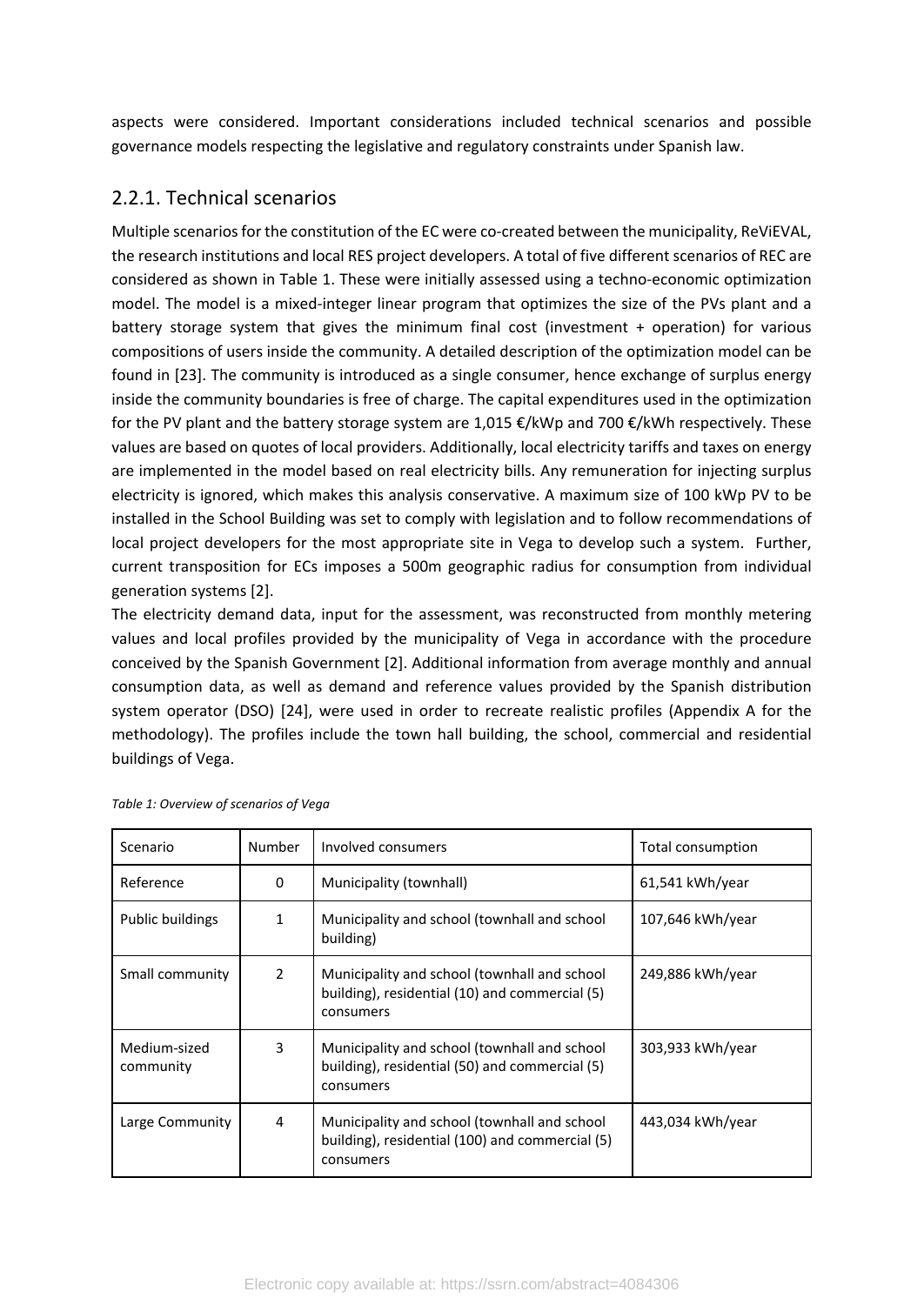aspects were considered. Important considerations included technical scenarios and possible governance models respecting the legislative and regulatory constraints under Spanish law.

### 2.2.1. Technical scenarios

Multiple scenarios for the constitution of the EC were co-created between the municipality, ReViEVAL, the research institutions and local RES project developers. A total of five different scenarios of REC are considered as shown in [Table 1](#page-4-0). These were initially assessed using a techno-economic optimization model. The model is a mixed-integer linear program that optimizes the size of the PVs plant and a battery storage system that gives the minimum final cost (investment + operation) for various compositions of users inside the community. A detailed description of the optimization model can be found in [23]. The community is introduced as a single consumer, hence exchange of surplus energy inside the community boundaries is free of charge. The capital expenditures used in the optimization for the PV plant and the battery storage system are 1,015 €/kWp and 700 €/kWh respectively. These values are based on quotes of local providers. Additionally, local electricity tariffs and taxes on energy are implemented in the model based on real electricity bills. Any remuneration for injecting surplus electricity is ignored, which makes this analysis conservative. A maximum size of 100 kWp PV to be installed in the School Building was set to comply with legislation and to follow recommendations of local project developers for the most appropriate site in Vega to develop such a system. Further, current transposition for ECs imposes a 500m geographic radius for consumption from individual generation systems [2].

The electricity demand data, input for the assessment, was reconstructed from monthly metering values and local profiles provided by the municipality of Vega in accordance with the procedure conceived by the Spanish Government [2]. Additional information from average monthly and annual consumption data, as well as demand and reference values provided by the Spanish distribution system operator (DSO) [24], were used in order to recreate realistic profiles ([Appendix A](#page-16-0) for the methodology). The profiles include the town hall building, the school, commercial and residential buildings of Vega.

| Scenario                  | Number         | Involved consumers                                                                                           | Total consumption |
|---------------------------|----------------|--------------------------------------------------------------------------------------------------------------|-------------------|
| Reference                 | 0              | Municipality (townhall)                                                                                      | 61,541 kWh/year   |
| Public buildings          | 1              | Municipality and school (townhall and school<br>building)                                                    | 107,646 kWh/year  |
| Small community           | $\overline{2}$ | Municipality and school (townhall and school<br>building), residential (10) and commercial (5)<br>consumers  | 249,886 kWh/year  |
| Medium-sized<br>community | 3              | Municipality and school (townhall and school<br>building), residential (50) and commercial (5)<br>consumers  | 303,933 kWh/year  |
| Large Community           | 4              | Municipality and school (townhall and school<br>building), residential (100) and commercial (5)<br>consumers | 443,034 kWh/year  |

<span id="page-4-0"></span>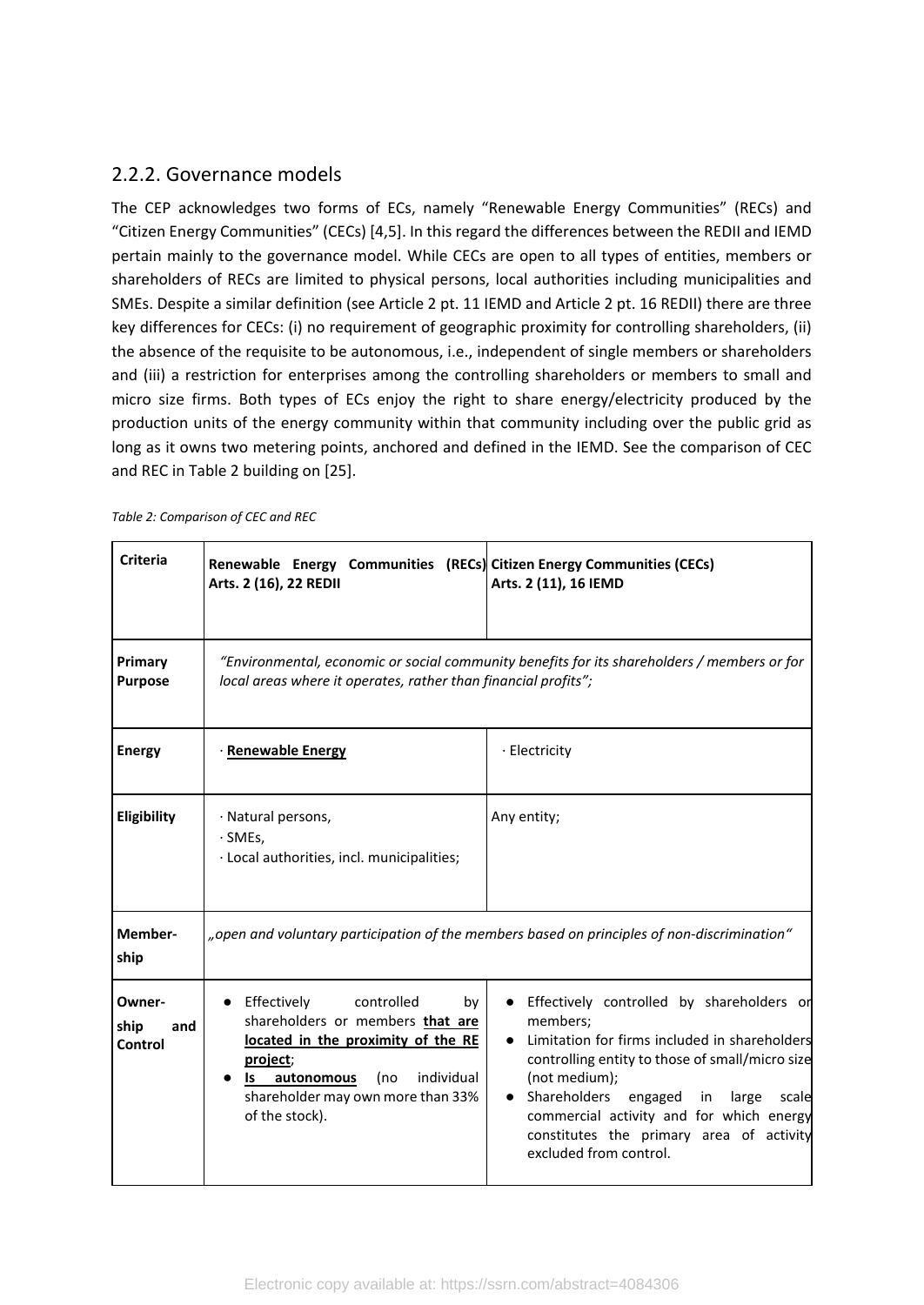#### 2.2.2. Governance models

The CEP acknowledges two forms of ECs, namely "Renewable Energy Communities" (RECs) and "Citizen Energy Communities" (CECs) [4,5]. In this regard the differences between the REDII and IEMD pertain mainly to the governance model. While CECs are open to all types of entities, members or shareholders of RECs are limited to physical persons, local authorities including municipalities and SMEs. Despite a similar definition (see Article 2 pt. 11 IEMD and Article 2 pt. 16 REDII) there are three key differences for CECs: (i) no requirement of geographic proximity for controlling shareholders, (ii) the absence of the requisite to be autonomous, i.e., independent of single members or shareholders and (iii) a restriction for enterprises among the controlling shareholders or members to small and micro size firms. Both types of ECs enjoy the right to share energy/electricity produced by the production units of the energy community within that community including over the public grid as long as it owns two metering points, anchored and defined in the IEMD. See the comparison of CEC and REC in [Table 2](#page-5-0) building on [25].

| <b>Criteria</b>                  | Renewable Energy Communities (RECs) Citizen Energy Communities (CECs)<br>Arts. 2 (16), 22 REDII                                                                                                                                      | Arts. 2 (11), 16 IEMD                                                                                                                                                                                                                                                                                                                                        |
|----------------------------------|--------------------------------------------------------------------------------------------------------------------------------------------------------------------------------------------------------------------------------------|--------------------------------------------------------------------------------------------------------------------------------------------------------------------------------------------------------------------------------------------------------------------------------------------------------------------------------------------------------------|
| Primary<br><b>Purpose</b>        | local areas where it operates, rather than financial profits";                                                                                                                                                                       | "Environmental, economic or social community benefits for its shareholders / members or for                                                                                                                                                                                                                                                                  |
| <b>Energy</b>                    | · Renewable Energy                                                                                                                                                                                                                   | · Electricity                                                                                                                                                                                                                                                                                                                                                |
| Eligibility                      | · Natural persons,<br>$\cdot$ SMEs.<br>· Local authorities, incl. municipalities;                                                                                                                                                    | Any entity;                                                                                                                                                                                                                                                                                                                                                  |
| Member-<br>ship                  |                                                                                                                                                                                                                                      | "open and voluntary participation of the members based on principles of non-discrimination"                                                                                                                                                                                                                                                                  |
| Owner-<br>ship<br>and<br>Control | Effectively<br>controlled<br>by<br>$\bullet$<br>shareholders or members that are<br>located in the proximity of the RE<br>project;<br>individual<br>(no<br>autonomous<br>ls l<br>shareholder may own more than 33%<br>of the stock). | Effectively controlled by shareholders or<br>members;<br>Limitation for firms included in shareholders<br>$\bullet$<br>controlling entity to those of small/micro size<br>(not medium);<br>Shareholders<br>large<br>engaged<br>in<br>scale<br>commercial activity and for which energy<br>constitutes the primary area of activity<br>excluded from control. |

<span id="page-5-0"></span>*Table 2: Comparison of CEC and REC*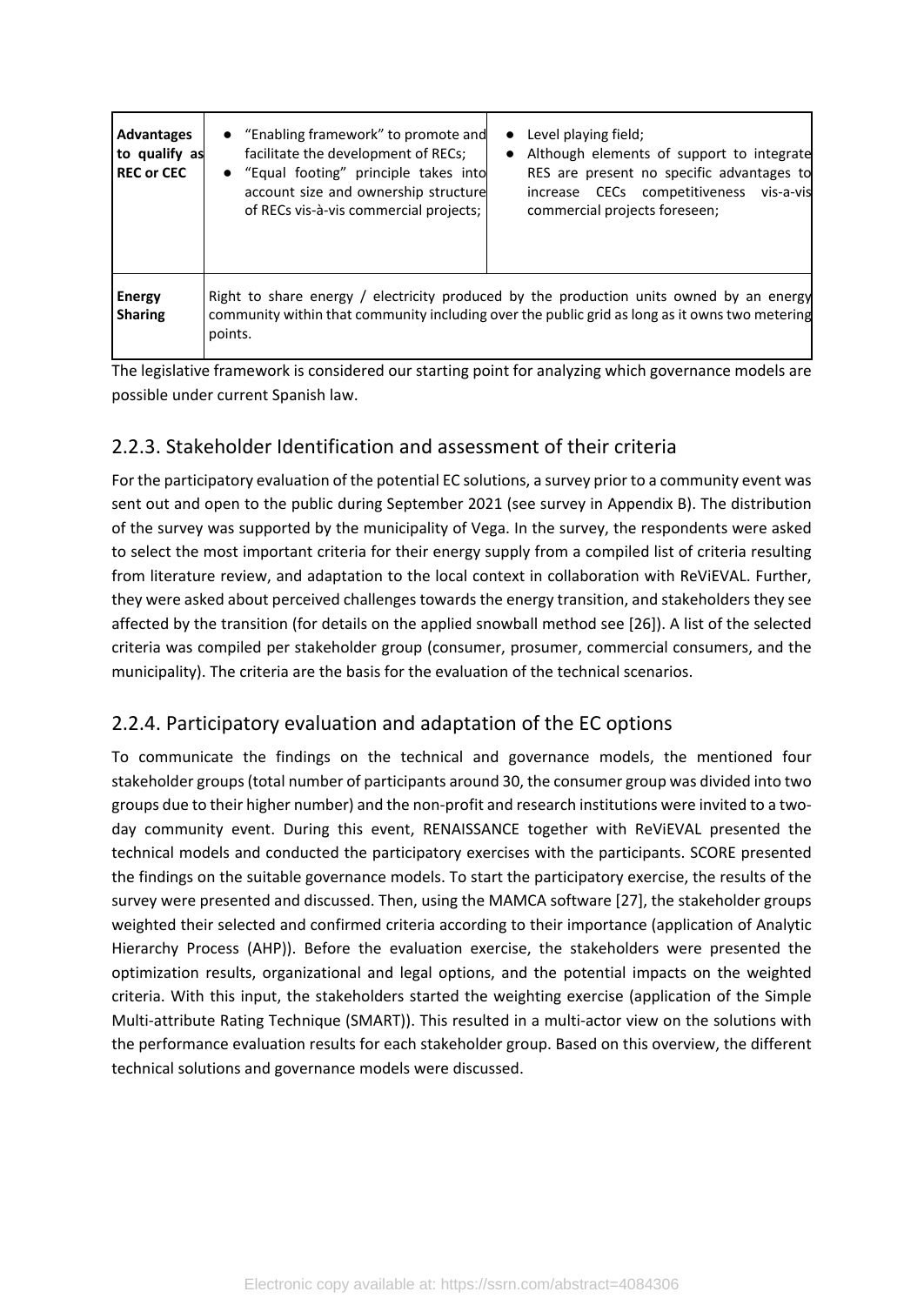| <b>Advantages</b><br>to qualify as<br><b>REC or CEC</b> | • "Enabling framework" to promote and<br>facilitate the development of RECs;<br>• "Equal footing" principle takes into<br>account size and ownership structure<br>of RECs vis-à-vis commercial projects; | Level playing field;<br>$\bullet$<br>Although elements of support to integrate<br>$\bullet$<br>RES are present no specific advantages to<br>increase CECs competitiveness vis-a-vis<br>commercial projects foreseen; |
|---------------------------------------------------------|----------------------------------------------------------------------------------------------------------------------------------------------------------------------------------------------------------|----------------------------------------------------------------------------------------------------------------------------------------------------------------------------------------------------------------------|
| <b>Energy</b><br><b>Sharing</b>                         | points.                                                                                                                                                                                                  | Right to share energy / electricity produced by the production units owned by an energy<br>community within that community including over the public grid as long as it owns two metering                            |

The legislative framework is considered our starting point for analyzing which governance models are possible under current Spanish law.

## 2.2.3. Stakeholder Identification and assessment of their criteria

For the participatory evaluation of the potential EC solutions, a survey prior to a community event was sent out and open to the public during September 2021 (see survey in [Appendix B\)](#page-17-0). The distribution of the survey was supported by the municipality of Vega. In the survey, the respondents were asked to select the most important criteria for their energy supply from a compiled list of criteria resulting from literature review, and adaptation to the local context in collaboration with ReViEVAL. Further, they were asked about perceived challenges towards the energy transition, and stakeholders they see affected by the transition (for details on the applied snowball method see [26]). A list of the selected criteria was compiled per stakeholder group (consumer, prosumer, commercial consumers, and the municipality). The criteria are the basis for the evaluation of the technical scenarios.

### 2.2.4. Participatory evaluation and adaptation of the EC options

To communicate the findings on the technical and governance models, the mentioned four stakeholder groups (total number of participants around 30, the consumer group was divided into two groups due to their higher number) and the non-profit and research institutions were invited to a twoday community event. During this event, RENAISSANCE together with ReViEVAL presented the technical models and conducted the participatory exercises with the participants. SCORE presented the findings on the suitable governance models. To start the participatory exercise, the results of the survey were presented and discussed. Then, using the MAMCA software [27], the stakeholder groups weighted their selected and confirmed criteria according to their importance (application of Analytic Hierarchy Process (AHP)). Before the evaluation exercise, the stakeholders were presented the optimization results, organizational and legal options, and the potential impacts on the weighted criteria. With this input, the stakeholders started the weighting exercise (application of the Simple Multi-attribute Rating Technique (SMART)). This resulted in a multi-actor view on the solutions with the performance evaluation results for each stakeholder group. Based on this overview, the different technical solutions and governance models were discussed.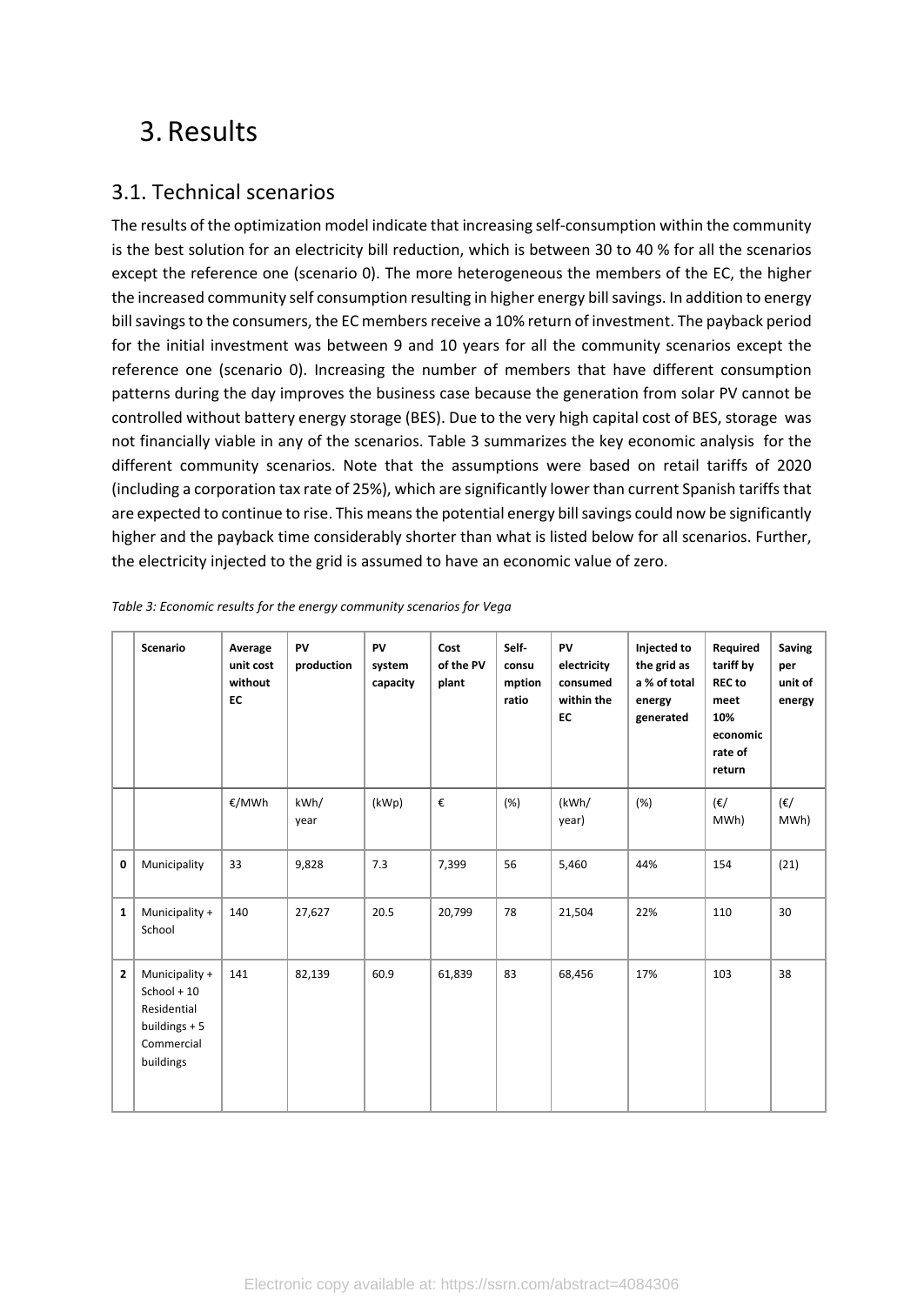# 3. Results

## 3.1. Technical scenarios

The results of the optimization model indicate that increasing self-consumption within the community is the best solution for an electricity bill reduction, which is between 30 to 40 % for all the scenarios except the reference one (scenario 0). The more heterogeneous the members of the EC, the higher the increased community self consumption resulting in higher energy bill savings. In addition to energy bill savings to the consumers, the EC members receive a 10% return of investment. The payback period for the initial investment was between 9 and 10 years for all the community scenarios except the reference one (scenario 0). Increasing the number of members that have different consumption patterns during the day improves the business case because the generation from solar PV cannot be controlled without battery energy storage (BES). Due to the very high capital cost of BES, storage was not financially viable in any of the scenarios. [Table 3](#page-7-0) summarizes the key economic analysis for the different community scenarios. Note that the assumptions were based on retail tariffs of 2020 (including a corporation tax rate of 25%), which are significantly lower than current Spanish tariffs that are expected to continue to rise. This means the potential energy bill savings could now be significantly higher and the payback time considerably shorter than what is listed below for all scenarios. Further, the electricity injected to the grid is assumed to have an economic value of zero.

|                | <b>Scenario</b>                                                                             | Average<br>unit cost<br>without<br>EC | PV<br>production | PV<br>system<br>capacity | Cost<br>of the PV<br>plant | Self-<br>consu<br>mption<br>ratio | PV<br>electricity<br>consumed<br>within the<br>EC | Injected to<br>the grid as<br>a % of total<br>energy<br>generated | Required<br>tariff by<br><b>REC</b> to<br>meet<br>10%<br>economic<br>rate of<br>return | <b>Saving</b><br>per<br>unit of<br>energy |
|----------------|---------------------------------------------------------------------------------------------|---------------------------------------|------------------|--------------------------|----------------------------|-----------------------------------|---------------------------------------------------|-------------------------------------------------------------------|----------------------------------------------------------------------------------------|-------------------------------------------|
|                |                                                                                             | €/MWh                                 | kWh/<br>year     | (kWp)                    | €                          | (%)                               | (kWh/<br>year)                                    | (%)                                                               | (€/<br>MWh)                                                                            | (€/<br>MWh)                               |
| 0              | Municipality                                                                                | 33                                    | 9,828            | 7.3                      | 7,399                      | 56                                | 5,460                                             | 44%                                                               | 154                                                                                    | (21)                                      |
| $\mathbf{1}$   | Municipality +<br>School                                                                    | 140                                   | 27,627           | 20.5                     | 20,799                     | 78                                | 21,504                                            | 22%                                                               | 110                                                                                    | 30                                        |
| $\overline{2}$ | Municipality +<br>School + $10$<br>Residential<br>buildings $+5$<br>Commercial<br>buildings | 141                                   | 82,139           | 60.9                     | 61,839                     | 83                                | 68,456                                            | 17%                                                               | 103                                                                                    | 38                                        |

<span id="page-7-0"></span>

|  |  | Table 3: Economic results for the energy community scenarios for Vega |
|--|--|-----------------------------------------------------------------------|
|--|--|-----------------------------------------------------------------------|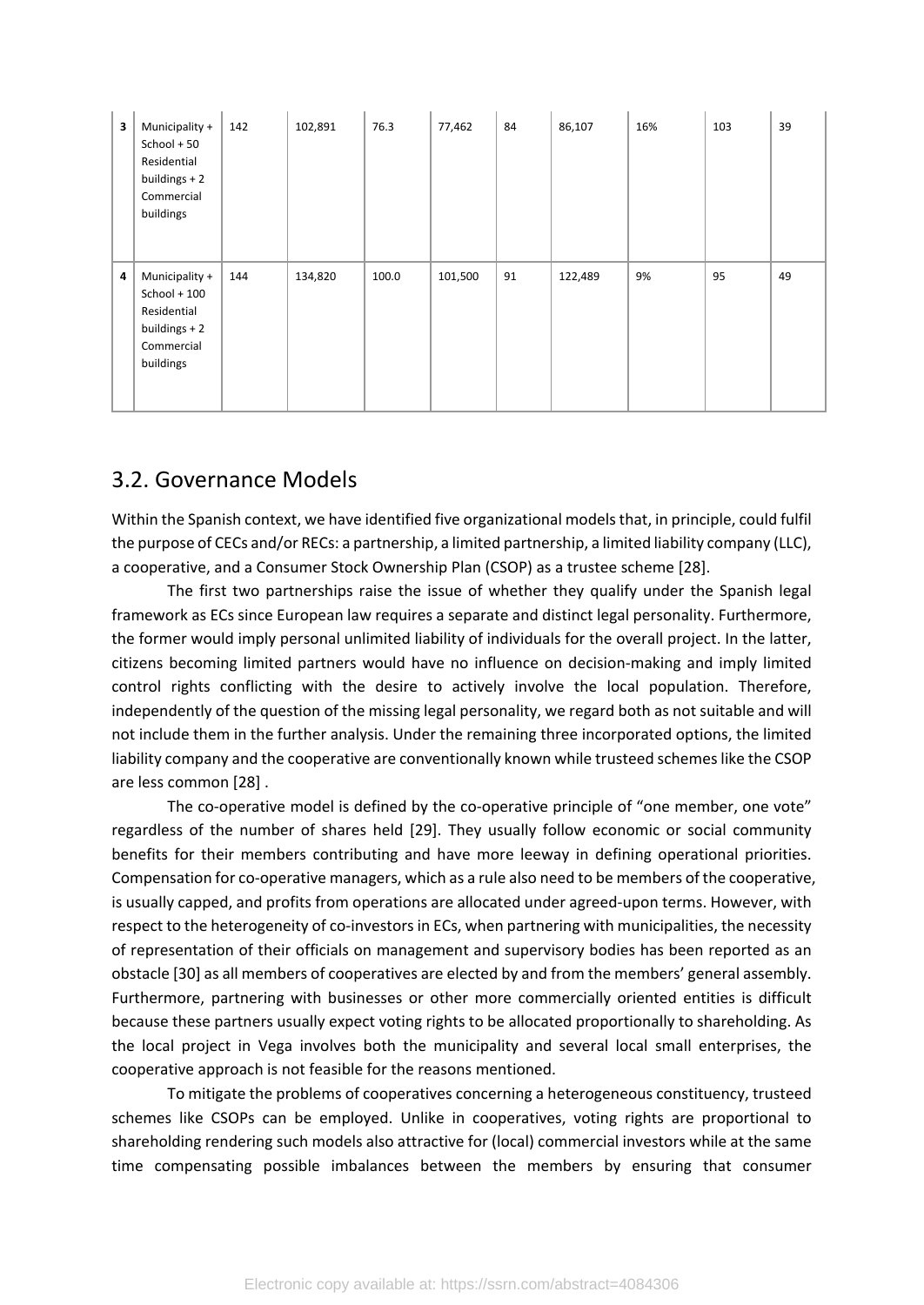| 3 | Municipality +<br>School + 50<br>Residential<br>buildings + 2<br>Commercial<br>buildings   | 142 | 102,891 | 76.3  | 77,462  | 84 | 86,107  | 16% | 103 | 39 |
|---|--------------------------------------------------------------------------------------------|-----|---------|-------|---------|----|---------|-----|-----|----|
| 4 | Municipality +<br>School + 100<br>Residential<br>buildings $+2$<br>Commercial<br>buildings | 144 | 134,820 | 100.0 | 101,500 | 91 | 122,489 | 9%  | 95  | 49 |

## 3.2. Governance Models

Within the Spanish context, we have identified five organizational models that, in principle, could fulfil the purpose of CECs and/or RECs: a partnership, a limited partnership, a limited liability company (LLC), a cooperative, and a Consumer Stock Ownership Plan (CSOP) as a trustee scheme [28].

The first two partnerships raise the issue of whether they qualify under the Spanish legal framework as ECs since European law requires a separate and distinct legal personality. Furthermore, the former would imply personal unlimited liability of individuals for the overall project. In the latter, citizens becoming limited partners would have no influence on decision-making and imply limited control rights conflicting with the desire to actively involve the local population. Therefore, independently of the question of the missing legal personality, we regard both as not suitable and will not include them in the further analysis. Under the remaining three incorporated options, the limited liability company and the cooperative are conventionally known while trusteed schemes like the CSOP are less common [28] .

The co-operative model is defined by the co-operative principle of "one member, one vote" regardless of the number of shares held [29]. They usually follow economic or social community benefits for their members contributing and have more leeway in defining operational priorities. Compensation for co-operative managers, which as a rule also need to be members of the cooperative, is usually capped, and profits from operations are allocated under agreed-upon terms. However, with respect to the heterogeneity of co-investors in ECs, when partnering with municipalities, the necessity of representation of their officials on management and supervisory bodies has been reported as an obstacle [30] as all members of cooperatives are elected by and from the members' general assembly. Furthermore, partnering with businesses or other more commercially oriented entities is difficult because these partners usually expect voting rights to be allocated proportionally to shareholding. As the local project in Vega involves both the municipality and several local small enterprises, the cooperative approach is not feasible for the reasons mentioned.

To mitigate the problems of cooperatives concerning a heterogeneous constituency, trusteed schemes like CSOPs can be employed. Unlike in cooperatives, voting rights are proportional to shareholding rendering such models also attractive for (local) commercial investors while at the same time compensating possible imbalances between the members by ensuring that consumer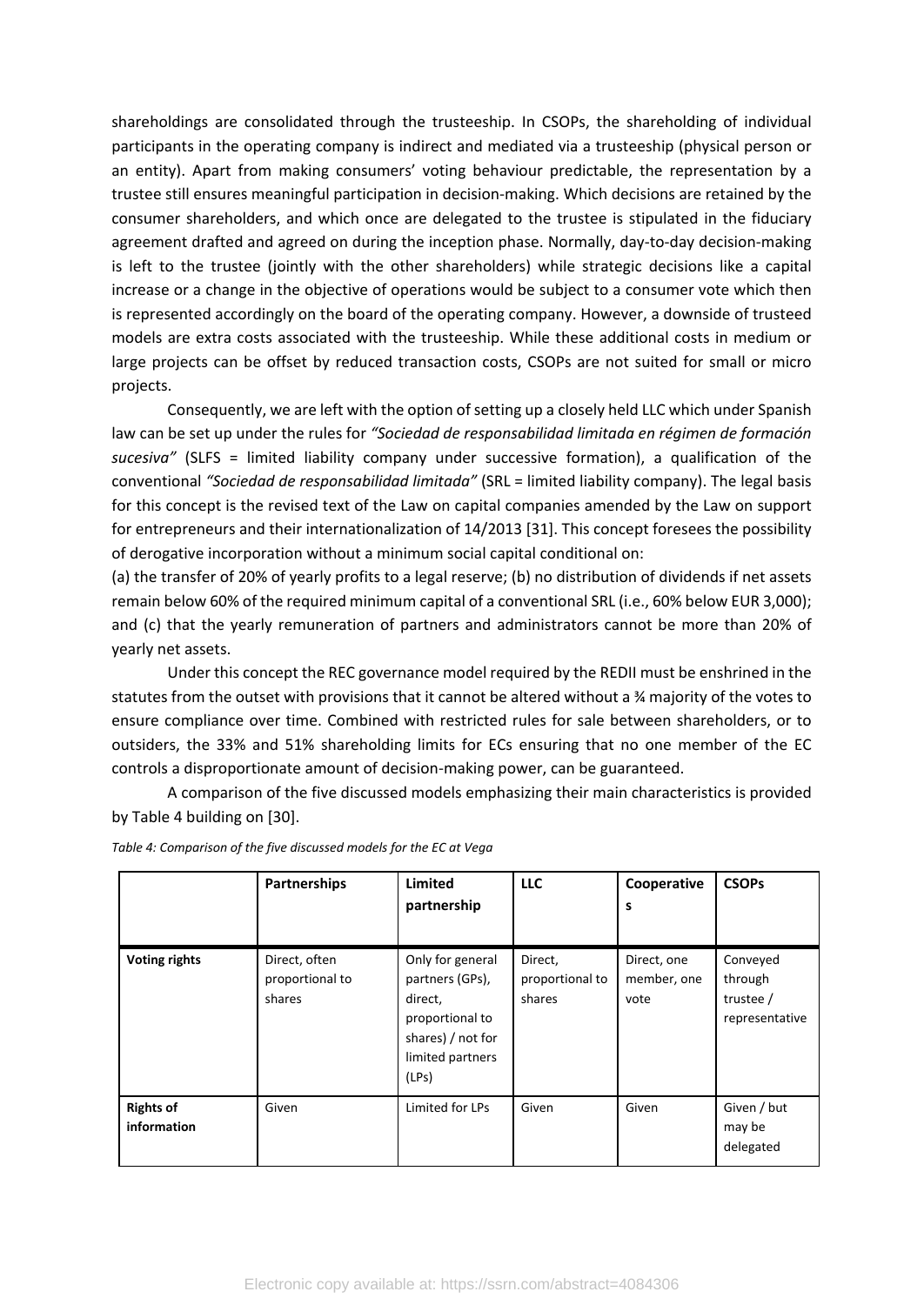shareholdings are consolidated through the trusteeship. In CSOPs, the shareholding of individual participants in the operating company is indirect and mediated via a trusteeship (physical person or an entity). Apart from making consumers' voting behaviour predictable, the representation by a trustee still ensures meaningful participation in decision-making. Which decisions are retained by the consumer shareholders, and which once are delegated to the trustee is stipulated in the fiduciary agreement drafted and agreed on during the inception phase. Normally, day-to-day decision-making is left to the trustee (jointly with the other shareholders) while strategic decisions like a capital increase or a change in the objective of operations would be subject to a consumer vote which then is represented accordingly on the board of the operating company. However, a downside of trusteed models are extra costs associated with the trusteeship. While these additional costs in medium or large projects can be offset by reduced transaction costs, CSOPs are not suited for small or micro projects.

Consequently, we are left with the option of setting up a closely held LLC which under Spanish law can be set up under the rules for *"Sociedad de responsabilidad limitada en régimen de formación sucesiva"* (SLFS = limited liability company under successive formation), a qualification of the conventional *"Sociedad de responsabilidad limitada"* (SRL = limited liability company). The legal basis for this concept is the revised text of the Law on capital companies amended by the Law on support for entrepreneurs and their internationalization of 14/2013 [31]. This concept foresees the possibility of derogative incorporation without a minimum social capital conditional on:

(a) the transfer of 20% of yearly profits to a legal reserve; (b) no distribution of dividends if net assets remain below 60% of the required minimum capital of a conventional SRL (i.e., 60% below EUR 3,000); and (c) that the yearly remuneration of partners and administrators cannot be more than 20% of yearly net assets.

Under this concept the REC governance model required by the REDII must be enshrined in the statutes from the outset with provisions that it cannot be altered without a ¾ majority of the votes to ensure compliance over time. Combined with restricted rules for sale between shareholders, or to outsiders, the 33% and 51% shareholding limits for ECs ensuring that no one member of the EC controls a disproportionate amount of decision-making power, can be guaranteed.

A comparison of the five discussed models emphasizing their main characteristics is provided by [Table 4](#page-9-0) building on [30].

|                                 | <b>Partnerships</b>                        | Limited<br>partnership                                                                                              | <b>LLC</b>                           | Cooperative<br>s                   | <b>CSOPs</b>                                       |
|---------------------------------|--------------------------------------------|---------------------------------------------------------------------------------------------------------------------|--------------------------------------|------------------------------------|----------------------------------------------------|
| <b>Voting rights</b>            | Direct, often<br>proportional to<br>shares | Only for general<br>partners (GPs),<br>direct,<br>proportional to<br>shares) / not for<br>limited partners<br>(LPs) | Direct,<br>proportional to<br>shares | Direct, one<br>member, one<br>vote | Conveyed<br>through<br>trustee /<br>representative |
| <b>Rights of</b><br>information | Given                                      | Limited for LPs                                                                                                     | Given                                | Given                              | Given / but<br>may be<br>delegated                 |

<span id="page-9-0"></span>*Table 4: Comparison of the five discussed models for the EC at Vega*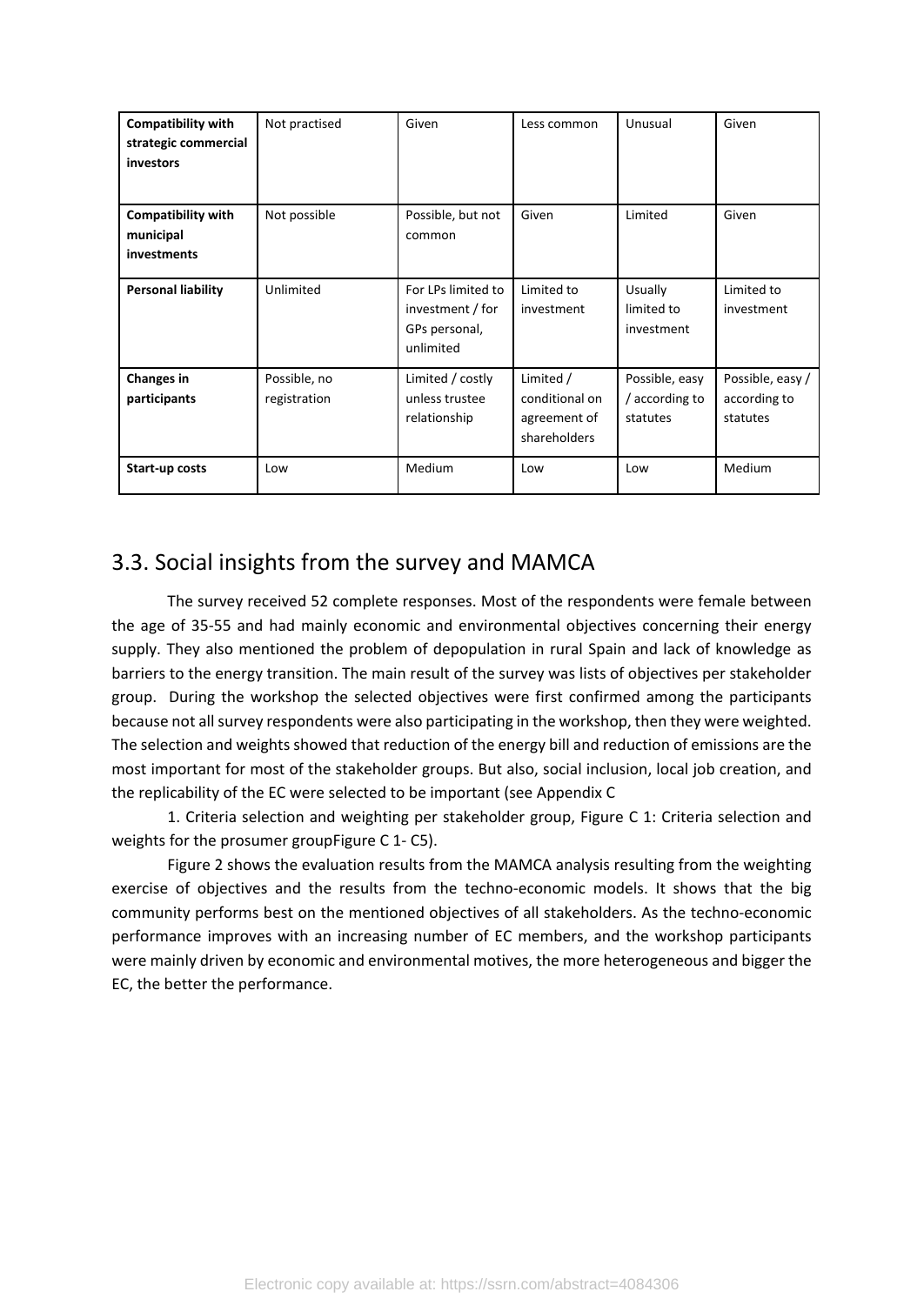| <b>Compatibility with</b><br>strategic commercial<br><b>investors</b> | Not practised                | Given                                                                | Less common                                                 | Unusual                                      | Given                                        |
|-----------------------------------------------------------------------|------------------------------|----------------------------------------------------------------------|-------------------------------------------------------------|----------------------------------------------|----------------------------------------------|
| <b>Compatibility with</b><br>municipal<br><i>investments</i>          | Not possible                 | Possible, but not<br>common                                          | Given                                                       | Limited                                      | Given                                        |
| <b>Personal liability</b>                                             | Unlimited                    | For LPs limited to<br>investment / for<br>GPs personal,<br>unlimited | Limited to<br>investment                                    | Usually<br>limited to<br>investment          | Limited to<br>investment                     |
| <b>Changes in</b><br>participants                                     | Possible, no<br>registration | Limited / costly<br>unless trustee<br>relationship                   | Limited /<br>conditional on<br>agreement of<br>shareholders | Possible, easy<br>/ according to<br>statutes | Possible, easy /<br>according to<br>statutes |
| Start-up costs                                                        | Low                          | Medium                                                               | Low                                                         | Low                                          | Medium                                       |

# 3.3. Social insights from the survey and MAMCA

The survey received 52 complete responses. Most of the respondents were female between the age of 35-55 and had mainly economic and environmental objectives concerning their energy supply. They also mentioned the problem of depopulation in rural Spain and lack of knowledge as barriers to the energy transition. The main result of the survey was lists of objectives per stakeholder group. During the workshop the selected objectives were first confirmed among the participants because not all survey respondents were also participating in the workshop, then they were weighted. The selection and weights showed that reduction of the energy bill and reduction of emissions are the most important for most of the stakeholder groups. But also, social inclusion, local job creation, and the replicability of the EC were selected to be important (see [Appendix C](#page-24-0)

[1. Criteria selection and weighting per stakeholder group](#page-24-0), [Figure C 1: Criteria selection and](#page-24-1)  [weights for the prosumer groupFigure C 1-](#page-24-1) C5).

[Figure 2](#page-11-0) shows the evaluation results from the MAMCA analysis resulting from the weighting exercise of objectives and the results from the techno-economic models. It shows that the big community performs best on the mentioned objectives of all stakeholders. As the techno-economic performance improves with an increasing number of EC members, and the workshop participants were mainly driven by economic and environmental motives, the more heterogeneous and bigger the EC, the better the performance.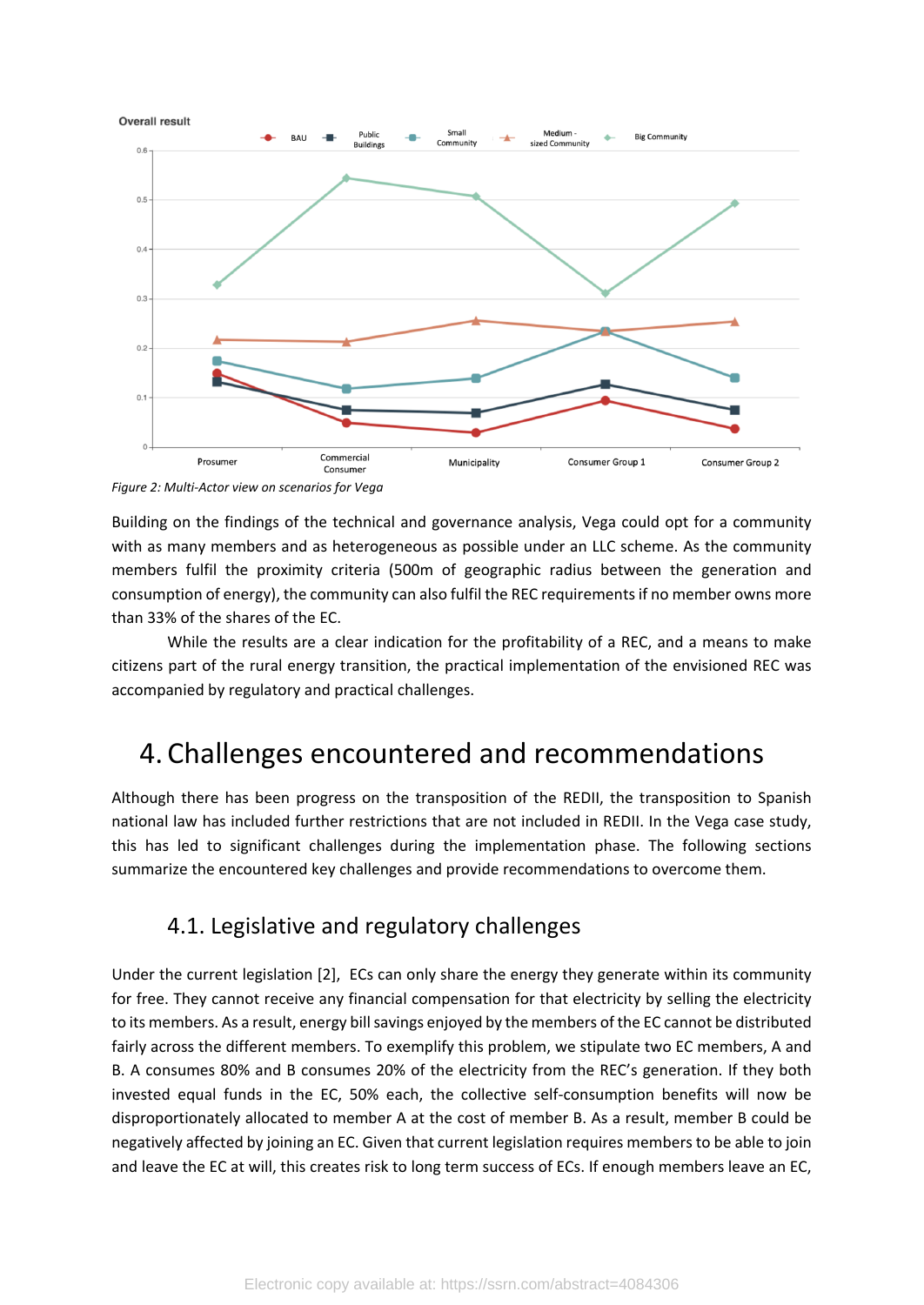

<span id="page-11-0"></span>*Figure 2: Multi-Actor view on scenarios for Vega*

Building on the findings of the technical and governance analysis, Vega could opt for a community with as many members and as heterogeneous as possible under an LLC scheme. As the community members fulfil the proximity criteria (500m of geographic radius between the generation and consumption of energy), the community can also fulfil the REC requirements if no member owns more than 33% of the shares of the EC.

While the results are a clear indication for the profitability of a REC, and a means to make citizens part of the rural energy transition, the practical implementation of the envisioned REC was accompanied by regulatory and practical challenges.

# 4. Challenges encountered and recommendations

Although there has been progress on the transposition of the REDII, the transposition to Spanish national law has included further restrictions that are not included in REDII. In the Vega case study, this has led to significant challenges during the implementation phase. The following sections summarize the encountered key challenges and provide recommendations to overcome them.

## 4.1. Legislative and regulatory challenges

Under the current legislation [2], ECs can only share the energy they generate within its community for free. They cannot receive any financial compensation for that electricity by selling the electricity to its members. As a result, energy bill savings enjoyed by the members of the EC cannot be distributed fairly across the different members. To exemplify this problem, we stipulate two EC members, A and B. A consumes 80% and B consumes 20% of the electricity from the REC's generation. If they both invested equal funds in the EC, 50% each, the collective self-consumption benefits will now be disproportionately allocated to member A at the cost of member B. As a result, member B could be negatively affected by joining an EC. Given that current legislation requires members to be able to join and leave the EC at will, this creates risk to long term success of ECs. If enough members leave an EC,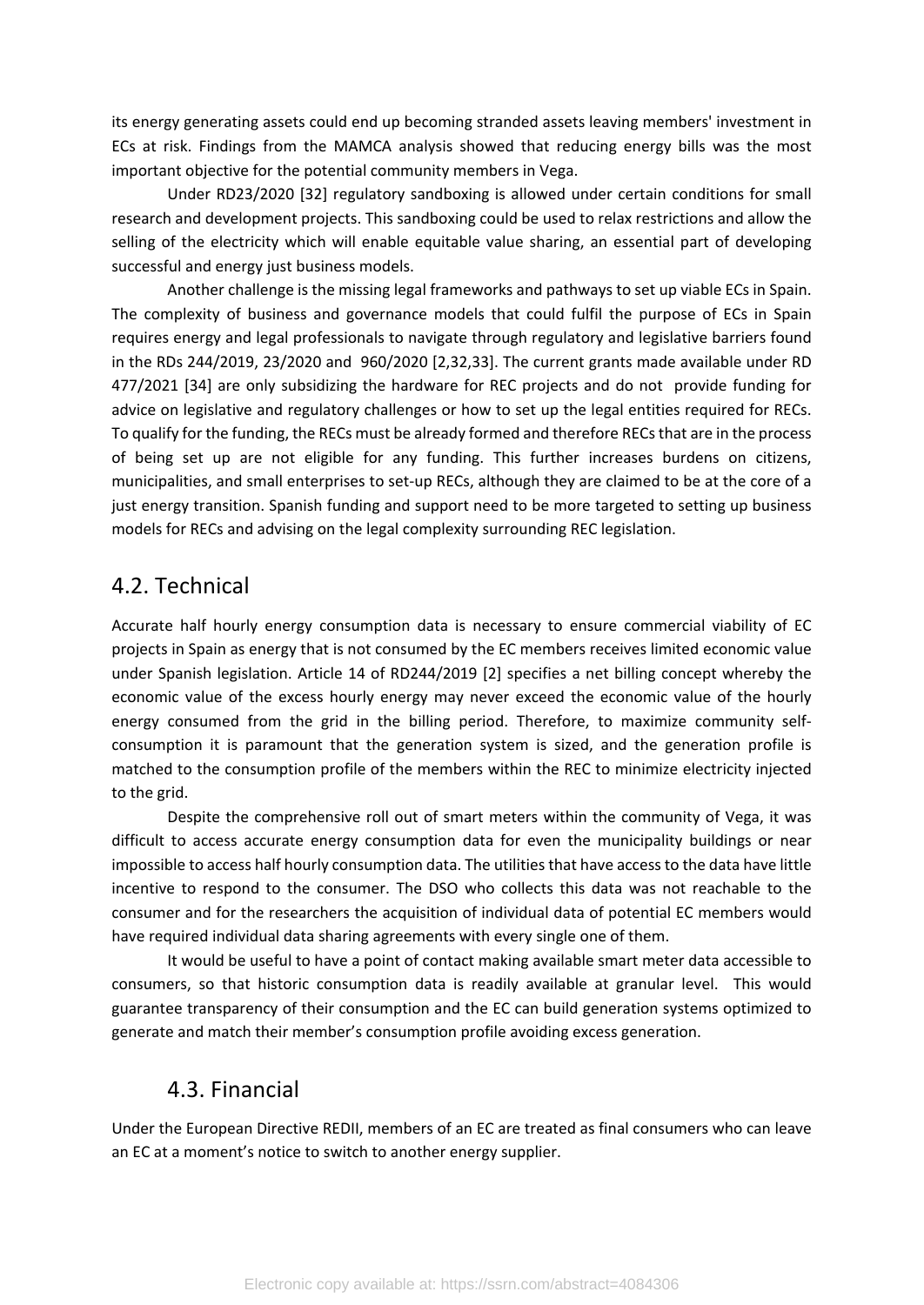its energy generating assets could end up becoming stranded assets leaving members' investment in ECs at risk. Findings from the MAMCA analysis showed that reducing energy bills was the most important objective for the potential community members in Vega.

Under RD23/2020 [32] regulatory sandboxing is allowed under certain conditions for small research and development projects. This sandboxing could be used to relax restrictions and allow the selling of the electricity which will enable equitable value sharing, an essential part of developing successful and energy just business models.

Another challenge is the missing legal frameworks and pathways to set up viable ECs in Spain. The complexity of business and governance models that could fulfil the purpose of ECs in Spain requires energy and legal professionals to navigate through regulatory and legislative barriers found in the RDs 244/2019, 23/2020 and 960/2020 [2,32,33]. The current grants made available under RD 477/2021 [34] are only subsidizing the hardware for REC projects and do not provide funding for advice on legislative and regulatory challenges or how to set up the legal entities required for RECs. To qualify for the funding, the RECs must be already formed and therefore RECs that are in the process of being set up are not eligible for any funding. This further increases burdens on citizens, municipalities, and small enterprises to set-up RECs, although they are claimed to be at the core of a just energy transition. Spanish funding and support need to be more targeted to setting up business models for RECs and advising on the legal complexity surrounding REC legislation.

### 4.2. Technical

Accurate half hourly energy consumption data is necessary to ensure commercial viability of EC projects in Spain as energy that is not consumed by the EC members receives limited economic value under Spanish legislation. Article 14 of RD244/2019 [2] specifies a net billing concept whereby the economic value of the excess hourly energy may never exceed the economic value of the hourly energy consumed from the grid in the billing period. Therefore, to maximize community selfconsumption it is paramount that the generation system is sized, and the generation profile is matched to the consumption profile of the members within the REC to minimize electricity injected to the grid.

Despite the comprehensive roll out of smart meters within the community of Vega, it was difficult to access accurate energy consumption data for even the municipality buildings or near impossible to access half hourly consumption data. The utilities that have access to the data have little incentive to respond to the consumer. The DSO who collects this data was not reachable to the consumer and for the researchers the acquisition of individual data of potential EC members would have required individual data sharing agreements with every single one of them.

It would be useful to have a point of contact making available smart meter data accessible to consumers, so that historic consumption data is readily available at granular level. This would guarantee transparency of their consumption and the EC can build generation systems optimized to generate and match their member's consumption profile avoiding excess generation.

### 4.3. Financial

Under the European Directive REDII, members of an EC are treated as final consumers who can leave an EC at a moment's notice to switch to another energy supplier.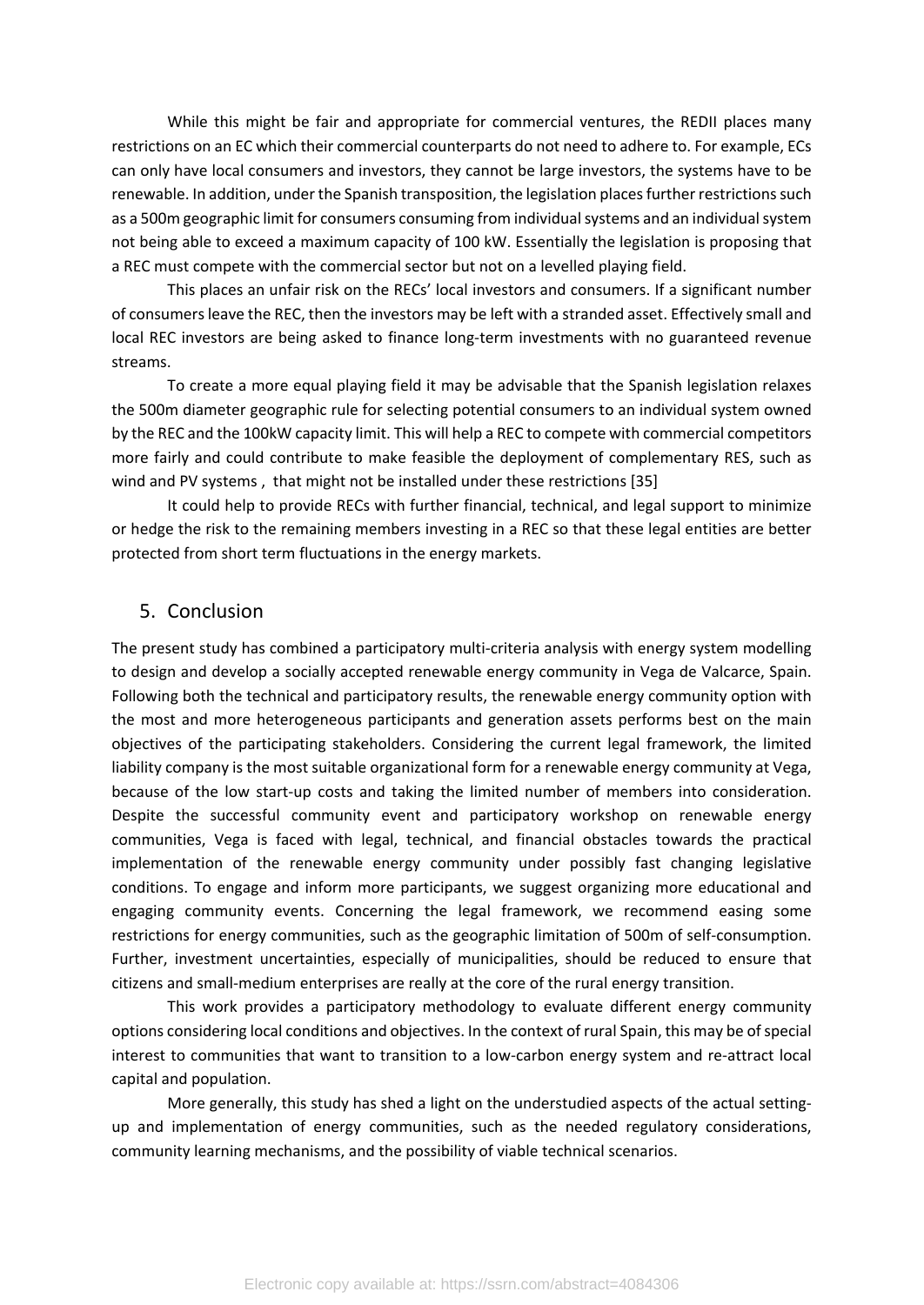While this might be fair and appropriate for commercial ventures, the REDII places many restrictions on an EC which their commercial counterparts do not need to adhere to. For example, ECs can only have local consumers and investors, they cannot be large investors, the systems have to be renewable. In addition, under the Spanish transposition, the legislation places further restrictions such as a 500m geographic limit for consumers consuming from individual systems and an individual system not being able to exceed a maximum capacity of 100 kW. Essentially the legislation is proposing that a REC must compete with the commercial sector but not on a levelled playing field.

This places an unfair risk on the RECs' local investors and consumers. If a significant number of consumers leave the REC, then the investors may be left with a stranded asset. Effectively small and local REC investors are being asked to finance long-term investments with no guaranteed revenue streams.

To create a more equal playing field it may be advisable that the Spanish legislation relaxes the 500m diameter geographic rule for selecting potential consumers to an individual system owned by the REC and the 100kW capacity limit. This will help a REC to compete with commercial competitors more fairly and could contribute to make feasible the deployment of complementary RES, such as wind and PV systems , that might not be installed under these restrictions [35]

It could help to provide RECs with further financial, technical, and legal support to minimize or hedge the risk to the remaining members investing in a REC so that these legal entities are better protected from short term fluctuations in the energy markets.

#### 5. Conclusion

The present study has combined a participatory multi-criteria analysis with energy system modelling to design and develop a socially accepted renewable energy community in Vega de Valcarce, Spain. Following both the technical and participatory results, the renewable energy community option with the most and more heterogeneous participants and generation assets performs best on the main objectives of the participating stakeholders. Considering the current legal framework, the limited liability company is the most suitable organizational form for a renewable energy community at Vega, because of the low start-up costs and taking the limited number of members into consideration. Despite the successful community event and participatory workshop on renewable energy communities, Vega is faced with legal, technical, and financial obstacles towards the practical implementation of the renewable energy community under possibly fast changing legislative conditions. To engage and inform more participants, we suggest organizing more educational and engaging community events. Concerning the legal framework, we recommend easing some restrictions for energy communities, such as the geographic limitation of 500m of self-consumption. Further, investment uncertainties, especially of municipalities, should be reduced to ensure that citizens and small-medium enterprises are really at the core of the rural energy transition.

This work provides a participatory methodology to evaluate different energy community options considering local conditions and objectives. In the context of rural Spain, this may be of special interest to communities that want to transition to a low-carbon energy system and re-attract local capital and population.

More generally, this study has shed a light on the understudied aspects of the actual settingup and implementation of energy communities, such as the needed regulatory considerations, community learning mechanisms, and the possibility of viable technical scenarios.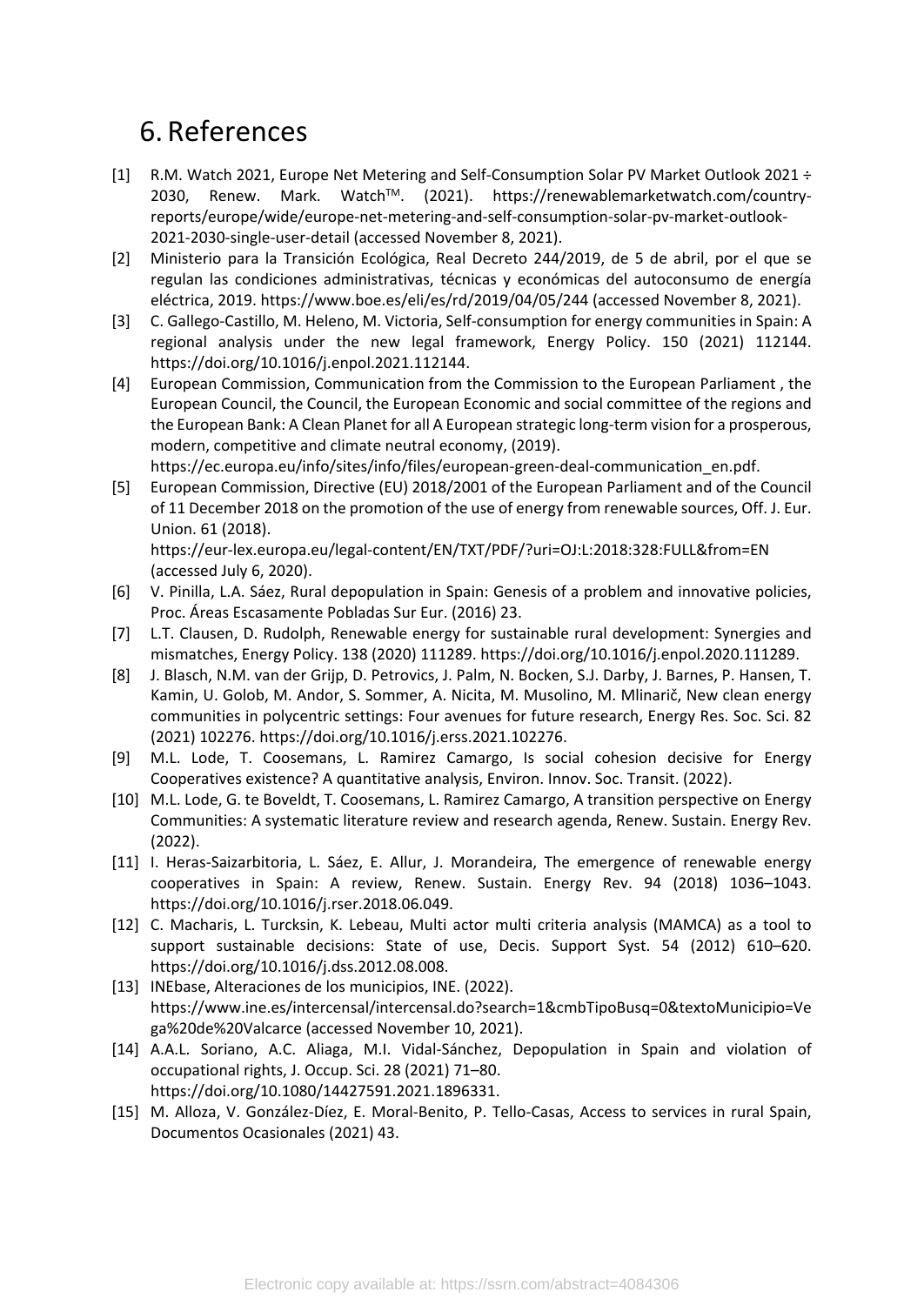# 6. References

- [1] R.M. Watch 2021, Europe Net Metering and Self-Consumption Solar PV Market Outlook 2021 ÷ 2030, Renew. Mark. WatchTM. (2021). https://renewablemarketwatch.com/countryreports/europe/wide/europe-net-metering-and-self-consumption-solar-pv-market-outlook-2021-2030-single-user-detail (accessed November 8, 2021).
- [2] Ministerio para la Transición Ecológica, Real Decreto 244/2019, de 5 de abril, por el que se regulan las condiciones administrativas, técnicas y económicas del autoconsumo de energía eléctrica, 2019. https://www.boe.es/eli/es/rd/2019/04/05/244 (accessed November 8, 2021).
- [3] C. Gallego-Castillo, M. Heleno, M. Victoria, Self-consumption for energy communities in Spain: A regional analysis under the new legal framework, Energy Policy. 150 (2021) 112144. https://doi.org/10.1016/j.enpol.2021.112144.
- [4] European Commission, Communication from the Commission to the European Parliament , the European Council, the Council, the European Economic and social committee of the regions and the European Bank: A Clean Planet for all A European strategic long-term vision for a prosperous, modern, competitive and climate neutral economy, (2019).

https://ec.europa.eu/info/sites/info/files/european-green-deal-communication\_en.pdf.

[5] European Commission, Directive (EU) 2018/2001 of the European Parliament and of the Council of 11 December 2018 on the promotion of the use of energy from renewable sources, Off. J. Eur. Union. 61 (2018).

https://eur-lex.europa.eu/legal-content/EN/TXT/PDF/?uri=OJ:L:2018:328:FULL&from=EN (accessed July 6, 2020).

- [6] V. Pinilla, L.A. Sáez, Rural depopulation in Spain: Genesis of a problem and innovative policies, Proc. Áreas Escasamente Pobladas Sur Eur. (2016) 23.
- [7] L.T. Clausen, D. Rudolph, Renewable energy for sustainable rural development: Synergies and mismatches, Energy Policy. 138 (2020) 111289. https://doi.org/10.1016/j.enpol.2020.111289.
- [8] J. Blasch, N.M. van der Grijp, D. Petrovics, J. Palm, N. Bocken, S.J. Darby, J. Barnes, P. Hansen, T. Kamin, U. Golob, M. Andor, S. Sommer, A. Nicita, M. Musolino, M. Mlinarič, New clean energy communities in polycentric settings: Four avenues for future research, Energy Res. Soc. Sci. 82 (2021) 102276. https://doi.org/10.1016/j.erss.2021.102276.
- [9] M.L. Lode, T. Coosemans, L. Ramirez Camargo, Is social cohesion decisive for Energy Cooperatives existence? A quantitative analysis, Environ. Innov. Soc. Transit. (2022).
- [10] M.L. Lode, G. te Boveldt, T. Coosemans, L. Ramirez Camargo, A transition perspective on Energy Communities: A systematic literature review and research agenda, Renew. Sustain. Energy Rev. (2022).
- [11] I. Heras-Saizarbitoria, L. Sáez, E. Allur, J. Morandeira, The emergence of renewable energy cooperatives in Spain: A review, Renew. Sustain. Energy Rev. 94 (2018) 1036–1043. https://doi.org/10.1016/j.rser.2018.06.049.
- [12] C. Macharis, L. Turcksin, K. Lebeau, Multi actor multi criteria analysis (MAMCA) as a tool to support sustainable decisions: State of use, Decis. Support Syst. 54 (2012) 610–620. https://doi.org/10.1016/j.dss.2012.08.008.
- [13] INEbase, Alteraciones de los municipios, INE. (2022). https://www.ine.es/intercensal/intercensal.do?search=1&cmbTipoBusq=0&textoMunicipio=Ve ga%20de%20Valcarce (accessed November 10, 2021).
- [14] A.A.L. Soriano, A.C. Aliaga, M.I. Vidal-Sánchez, Depopulation in Spain and violation of occupational rights, J. Occup. Sci. 28 (2021) 71–80. https://doi.org/10.1080/14427591.2021.1896331.
- [15] M. Alloza, V. González-Díez, E. Moral-Benito, P. Tello-Casas, Access to services in rural Spain, Documentos Ocasionales (2021) 43.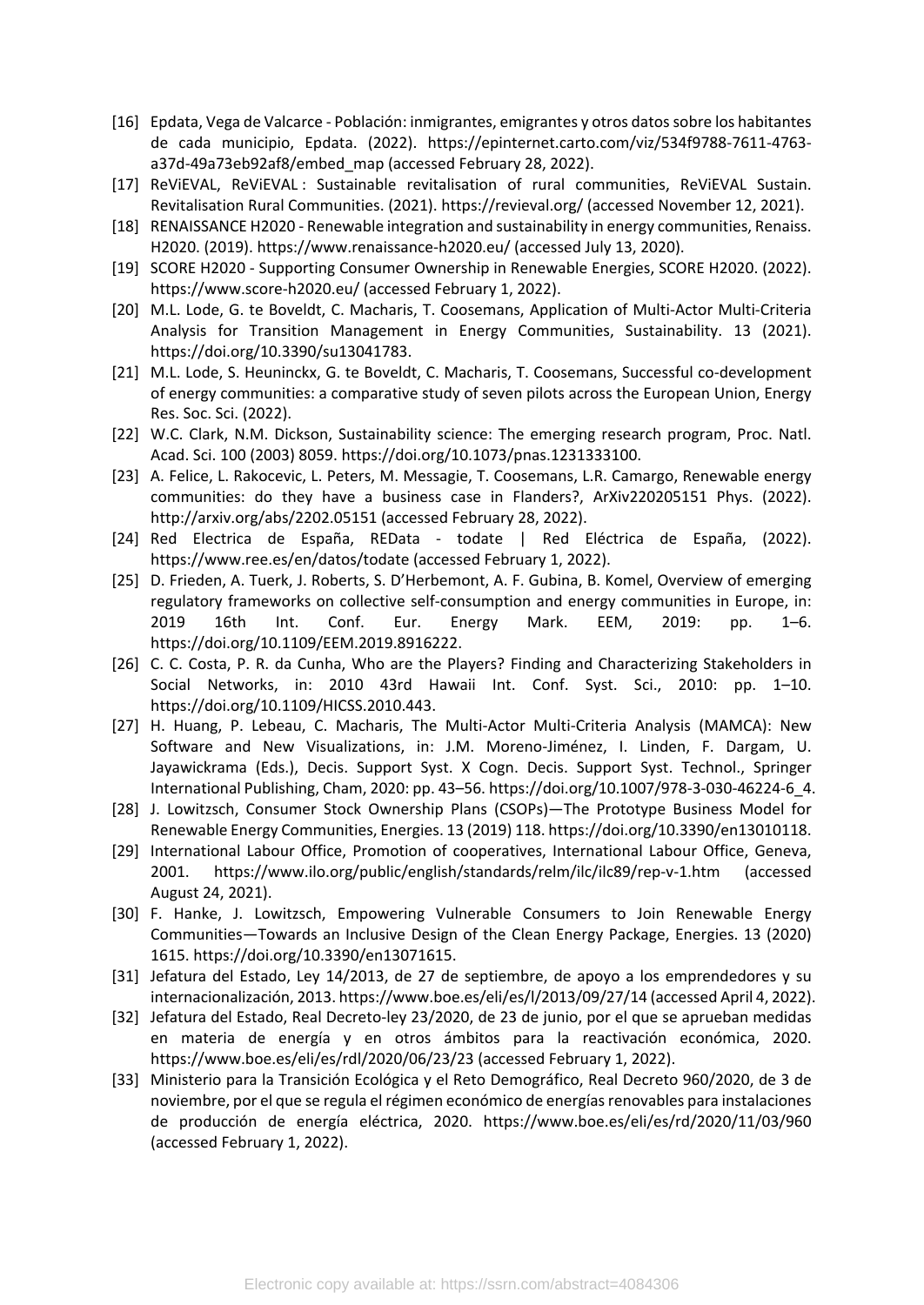- [16] Epdata, Vega de Valcarce Población: inmigrantes, emigrantes y otros datos sobre los habitantes de cada municipio, Epdata. (2022). https://epinternet.carto.com/viz/534f9788-7611-4763 a37d-49a73eb92af8/embed\_map (accessed February 28, 2022).
- [17] ReViEVAL, ReViEVAL : Sustainable revitalisation of rural communities, ReViEVAL Sustain. Revitalisation Rural Communities. (2021). https://revieval.org/ (accessed November 12, 2021).
- [18] RENAISSANCE H2020 Renewable integration and sustainability in energy communities, Renaiss. H2020. (2019). https://www.renaissance-h2020.eu/ (accessed July 13, 2020).
- [19] SCORE H2020 Supporting Consumer Ownership in Renewable Energies, SCORE H2020. (2022). https://www.score-h2020.eu/ (accessed February 1, 2022).
- [20] M.L. Lode, G. te Boveldt, C. Macharis, T. Coosemans, Application of Multi-Actor Multi-Criteria Analysis for Transition Management in Energy Communities, Sustainability. 13 (2021). https://doi.org/10.3390/su13041783.
- [21] M.L. Lode, S. Heuninckx, G. te Boveldt, C. Macharis, T. Coosemans, Successful co-development of energy communities: a comparative study of seven pilots across the European Union, Energy Res. Soc. Sci. (2022).
- [22] W.C. Clark, N.M. Dickson, Sustainability science: The emerging research program, Proc. Natl. Acad. Sci. 100 (2003) 8059. https://doi.org/10.1073/pnas.1231333100.
- [23] A. Felice, L. Rakocevic, L. Peters, M. Messagie, T. Coosemans, L.R. Camargo, Renewable energy communities: do they have a business case in Flanders?, ArXiv220205151 Phys. (2022). http://arxiv.org/abs/2202.05151 (accessed February 28, 2022).
- [24] Red Electrica de España, REData todate | Red Eléctrica de España, (2022). https://www.ree.es/en/datos/todate (accessed February 1, 2022).
- [25] D. Frieden, A. Tuerk, J. Roberts, S. D'Herbemont, A. F. Gubina, B. Komel, Overview of emerging regulatory frameworks on collective self-consumption and energy communities in Europe, in: 2019 16th Int. Conf. Eur. Energy Mark. EEM, 2019: pp. 1–6. https://doi.org/10.1109/EEM.2019.8916222.
- [26] C. C. Costa, P. R. da Cunha, Who are the Players? Finding and Characterizing Stakeholders in Social Networks, in: 2010 43rd Hawaii Int. Conf. Syst. Sci., 2010: pp. 1-10. https://doi.org/10.1109/HICSS.2010.443.
- [27] H. Huang, P. Lebeau, C. Macharis, The Multi-Actor Multi-Criteria Analysis (MAMCA): New Software and New Visualizations, in: J.M. Moreno-Jiménez, I. Linden, F. Dargam, U. Jayawickrama (Eds.), Decis. Support Syst. X Cogn. Decis. Support Syst. Technol., Springer International Publishing, Cham, 2020: pp. 43–56. https://doi.org/10.1007/978-3-030-46224-6\_4.
- [28] J. Lowitzsch, Consumer Stock Ownership Plans (CSOPs)—The Prototype Business Model for Renewable Energy Communities, Energies. 13 (2019) 118. https://doi.org/10.3390/en13010118.
- [29] International Labour Office, Promotion of cooperatives, International Labour Office, Geneva, 2001. https://www.ilo.org/public/english/standards/relm/ilc/ilc89/rep-v-1.htm (accessed August 24, 2021).
- [30] F. Hanke, J. Lowitzsch, Empowering Vulnerable Consumers to Join Renewable Energy Communities—Towards an Inclusive Design of the Clean Energy Package, Energies. 13 (2020) 1615. https://doi.org/10.3390/en13071615.
- [31] Jefatura del Estado, Ley 14/2013, de 27 de septiembre, de apoyo a los emprendedores y su internacionalización, 2013. https://www.boe.es/eli/es/l/2013/09/27/14 (accessed April 4, 2022).
- [32] Jefatura del Estado, Real Decreto-ley 23/2020, de 23 de junio, por el que se aprueban medidas en materia de energía y en otros ámbitos para la reactivación económica, 2020. https://www.boe.es/eli/es/rdl/2020/06/23/23 (accessed February 1, 2022).
- [33] Ministerio para la Transición Ecológica y el Reto Demográfico, Real Decreto 960/2020, de 3 de noviembre, por el que se regula el régimen económico de energías renovables para instalaciones de producción de energía eléctrica, 2020. https://www.boe.es/eli/es/rd/2020/11/03/960 (accessed February 1, 2022).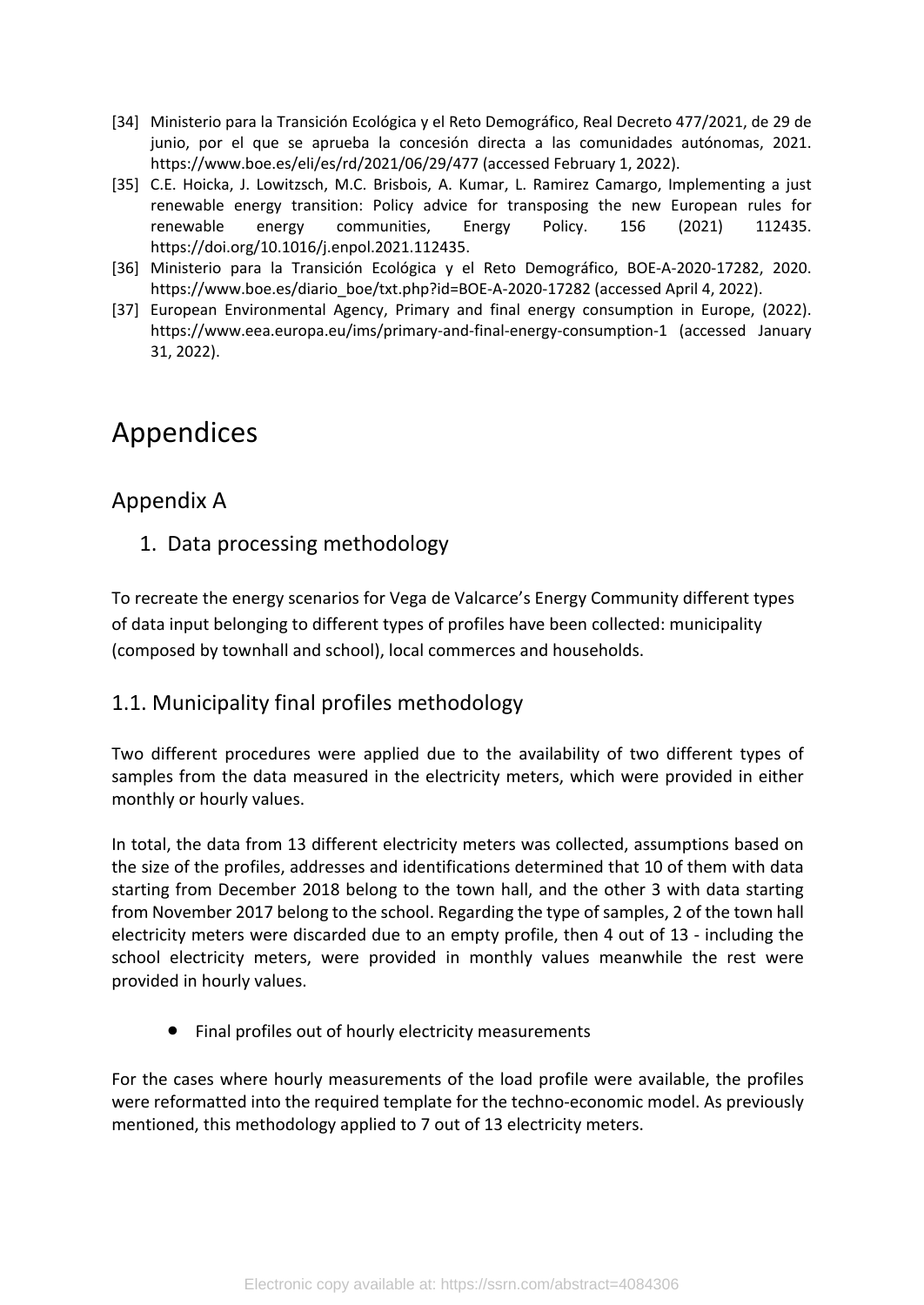- [34] Ministerio para la Transición Ecológica y el Reto Demográfico, Real Decreto 477/2021, de 29 de junio, por el que se aprueba la concesión directa a las comunidades autónomas, 2021. https://www.boe.es/eli/es/rd/2021/06/29/477 (accessed February 1, 2022).
- [35] C.E. Hoicka, J. Lowitzsch, M.C. Brisbois, A. Kumar, L. Ramirez Camargo, Implementing a just renewable energy transition: Policy advice for transposing the new European rules for renewable energy communities, Energy Policy. 156 (2021) 112435. https://doi.org/10.1016/j.enpol.2021.112435.
- [36] Ministerio para la Transición Ecológica y el Reto Demográfico, BOE-A-2020-17282, 2020. https://www.boe.es/diario\_boe/txt.php?id=BOE-A-2020-17282 (accessed April 4, 2022).
- [37] European Environmental Agency, Primary and final energy consumption in Europe, (2022). https://www.eea.europa.eu/ims/primary-and-final-energy-consumption-1 (accessed January 31, 2022).

# Appendices

# <span id="page-16-0"></span>Appendix A

1. Data processing methodology

To recreate the energy scenarios for Vega de Valcarce's Energy Community different types of data input belonging to different types of profiles have been collected: municipality (composed by townhall and school), local commerces and households.

## 1.1. Municipality final profiles methodology

Two different procedures were applied due to the availability of two different types of samples from the data measured in the electricity meters, which were provided in either monthly or hourly values.

In total, the data from 13 different electricity meters was collected, assumptions based on the size of the profiles, addresses and identifications determined that 10 of them with data starting from December 2018 belong to the town hall, and the other 3 with data starting from November 2017 belong to the school. Regarding the type of samples, 2 of the town hall electricity meters were discarded due to an empty profile, then 4 out of 13 - including the school electricity meters, were provided in monthly values meanwhile the rest were provided in hourly values.

Final profiles out of hourly electricity measurements

For the cases where hourly measurements of the load profile were available, the profiles were reformatted into the required template for the techno-economic model. As previously mentioned, this methodology applied to 7 out of 13 electricity meters.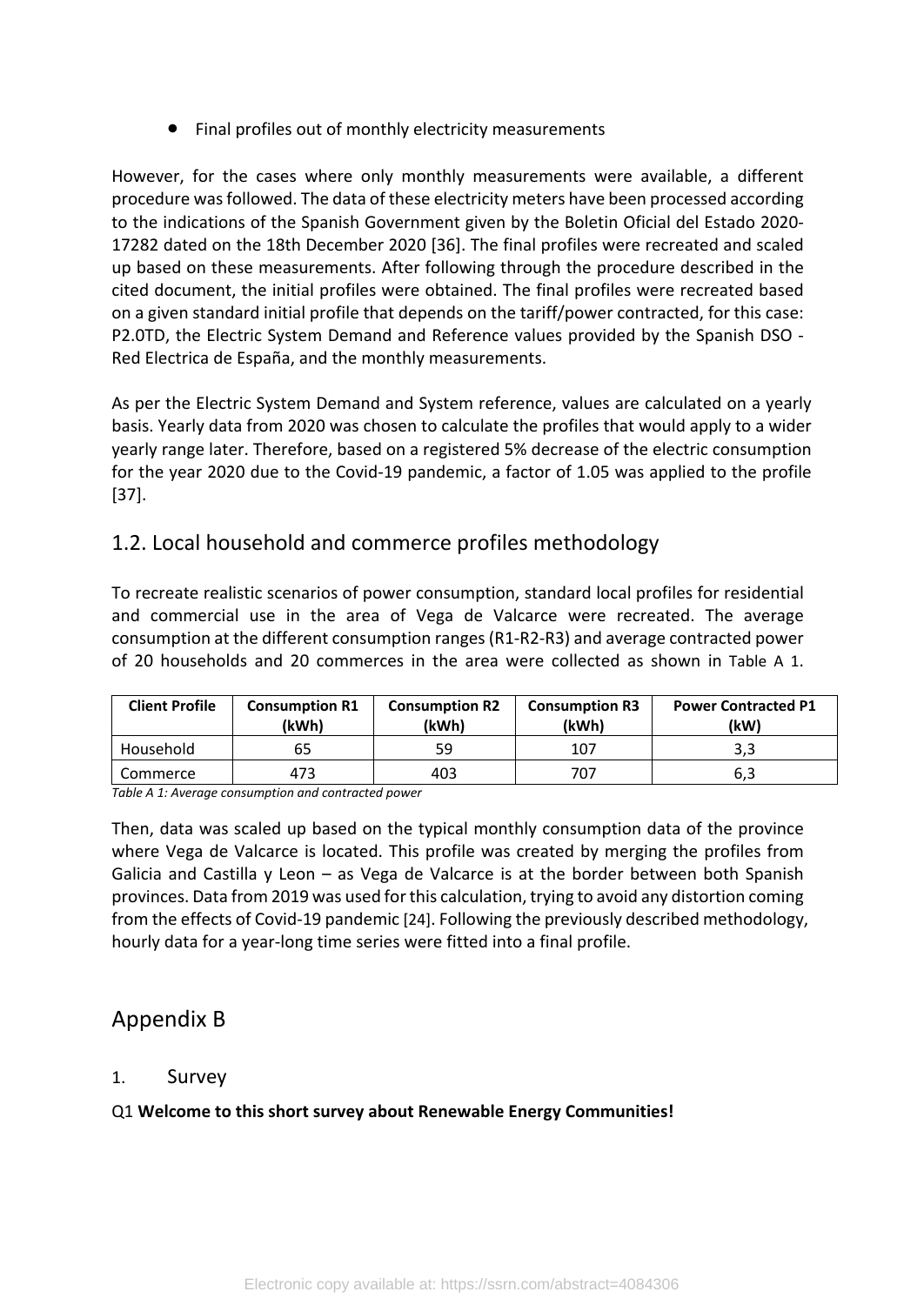Final profiles out of monthly electricity measurements

However, for the cases where only monthly measurements were available, a different procedure was followed. The data of these electricity meters have been processed according to the indications of the Spanish Government given by the Boletin Oficial del Estado 2020- 17282 dated on the 18th December 2020 [36]. The final profiles were recreated and scaled up based on these measurements. After following through the procedure described in the cited document, the initial profiles were obtained. The final profiles were recreated based on a given standard initial profile that depends on the tariff/power contracted, for this case: P2.0TD, the Electric System Demand and Reference values provided by the Spanish DSO - Red Electrica de España, and the monthly measurements.

As per the Electric System Demand and System reference, values are calculated on a yearly basis. Yearly data from 2020 was chosen to calculate the profiles that would apply to a wider yearly range later. Therefore, based on a registered 5% decrease of the electric consumption for the year 2020 due to the Covid-19 pandemic, a factor of 1.05 was applied to the profile [37].

## 1.2. Local household and commerce profiles methodology

To recreate realistic scenarios of power consumption, standard local profiles for residential and commercial use in the area of Vega de Valcarce were recreated. The average consumption at the different consumption ranges (R1-R2-R3) and average contracted power of 20 households and 20 commerces in the area were collected as shown in [Table A 1](#page-17-1).

| <b>Client Profile</b> | <b>Consumption R1</b><br>(kWh) | <b>Consumption R2</b><br>(kWh) | <b>Consumption R3</b><br>(kWh) | <b>Power Contracted P1</b><br>(kW) |
|-----------------------|--------------------------------|--------------------------------|--------------------------------|------------------------------------|
| Household             | 65                             | 59                             | 107                            | כ, כ                               |
| Commerce              | 473                            | 403                            | 707                            | 6,3                                |

<span id="page-17-1"></span>*Table A 1: Average consumption and contracted power*

Then, data was scaled up based on the typical monthly consumption data of the province where Vega de Valcarce is located. This profile was created by merging the profiles from Galicia and Castilla  $y$  Leon – as Vega de Valcarce is at the border between both Spanish provinces. Data from 2019 was used for this calculation, trying to avoid any distortion coming from the effects of Covid-19 pandemic [24]. Following the previously described methodology, hourly data for a year-long time series were fitted into a final profile.

## <span id="page-17-0"></span>Appendix B

### 1. Survey

Q1 **Welcome to this short survey about Renewable Energy Communities!**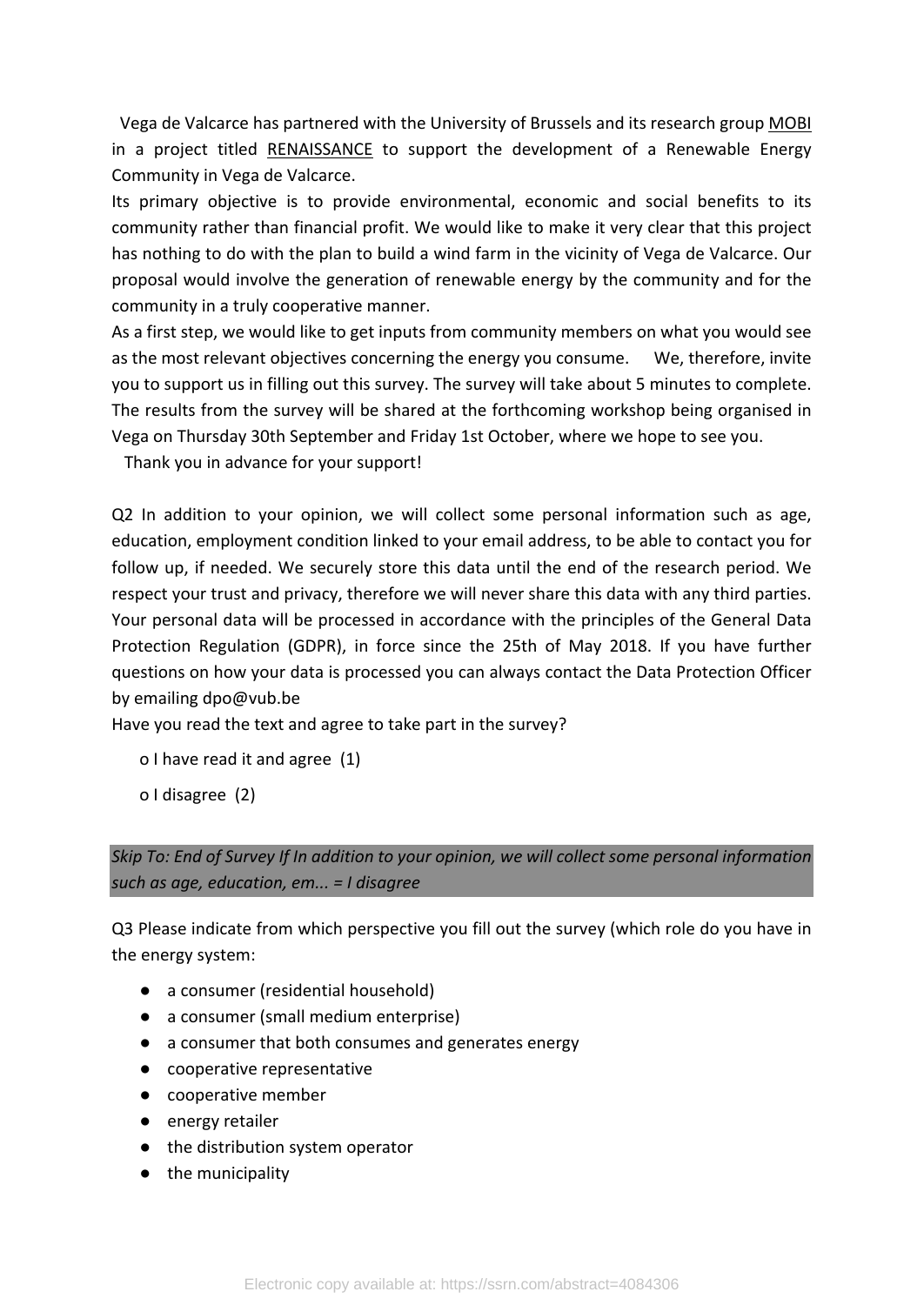Vega de Valcarce has partnered with the University of Brussels and its research grou[p MOBI](https://mobi.research.vub.be) in a project title[d RENAISSANCE](https://www.renaissance-h2020.eu/) to support the development of a Renewable Energy Community in Vega de Valcarce.

Its primary objective is to provide environmental, economic and social benefits to its community rather than financial profit. We would like to make it very clear that this project has nothing to do with the plan to build a wind farm in the vicinity of Vega de Valcarce. Our proposal would involve the generation of renewable energy by the community and for the community in a truly cooperative manner.

As a first step, we would like to get inputs from community members on what you would see as the most relevant objectives concerning the energy you consume. We, therefore, invite you to support us in filling out this survey. The survey will take about 5 minutes to complete. The results from the survey will be shared at the forthcoming workshop being organised in Vega on Thursday 30th September and Friday 1st October, where we hope to see you.

Thank you in advance for your support!

Q2 In addition to your opinion, we will collect some personal information such as age, education, employment condition linked to your email address, to be able to contact you for follow up, if needed. We securely store this data until the end of the research period. We respect your trust and privacy, therefore we will never share this data with any third parties. Your personal data will be processed in accordance with the principles of the General Data Protection Regulation (GDPR), in force since the 25th of May 2018. If you have further questions on how your data is processed you can always contact the Data Protection Officer by emailing dpo@vub.be

Have you read the text and agree to take part in the survey?

- o I have read it and agree (1)
- o I disagree (2)

*Skip To: End of Survey If In addition to your opinion, we will collect some personal information such as age, education, em... = I disagree*

Q3 Please indicate from which perspective you fill out the survey (which role do you have in the energy system:

- a consumer (residential household)
- a consumer (small medium enterprise)
- a consumer that both consumes and generates energy
- cooperative representative
- cooperative member
- energy retailer
- the distribution system operator
- the municipality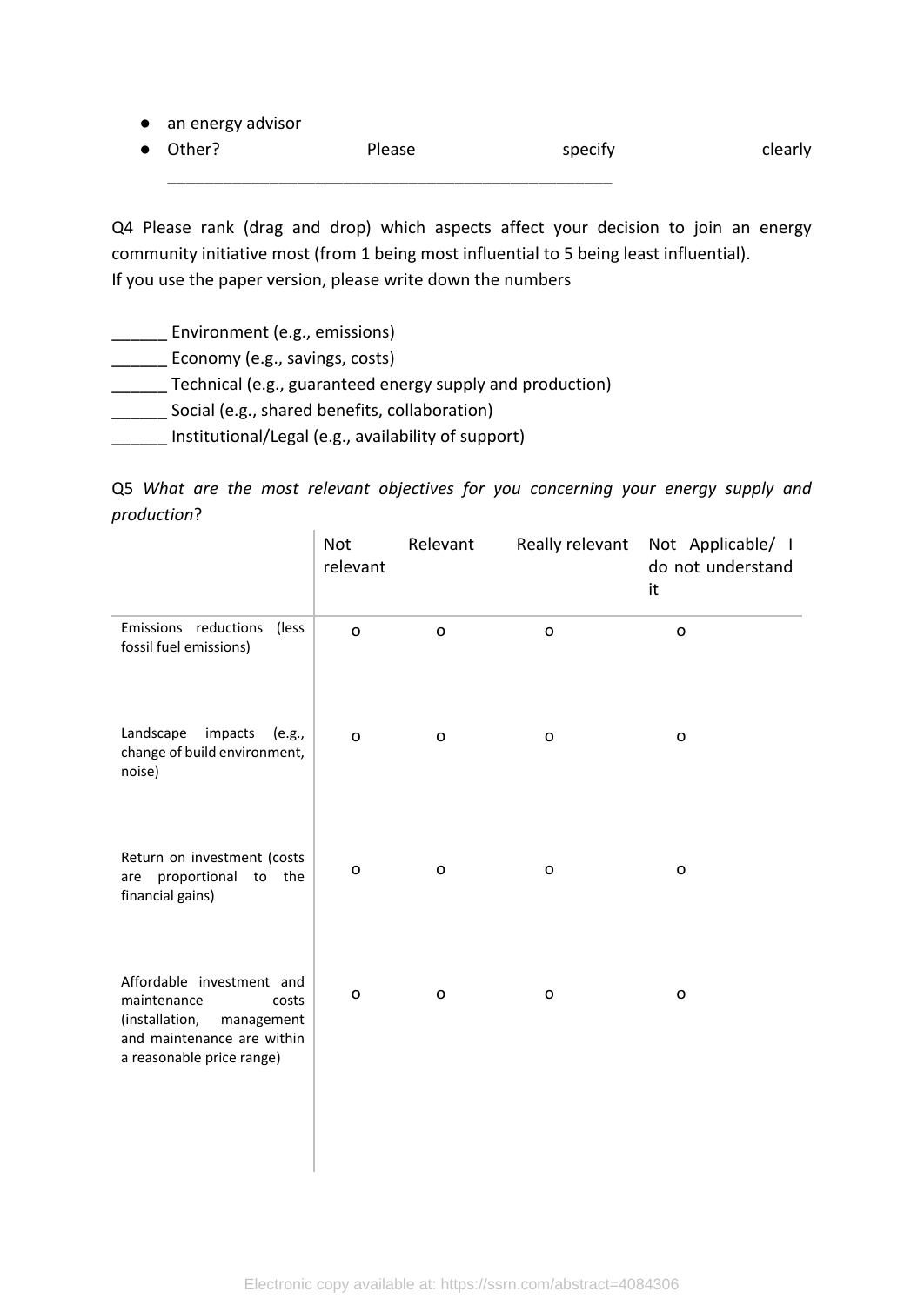|  |  |  | an energy advisor |
|--|--|--|-------------------|
|--|--|--|-------------------|

● Other? Please specify clearly \_\_\_\_\_\_\_\_\_\_\_\_\_\_\_\_\_\_\_\_\_\_\_\_\_\_\_\_\_\_\_\_\_\_\_\_\_\_\_\_\_\_\_\_\_\_\_\_

Q4 Please rank (drag and drop) which aspects affect your decision to join an energy community initiative most (from 1 being most influential to 5 being least influential). If you use the paper version, please write down the numbers

**Environment (e.g., emissions)** 

**Lastianary (e.g., savings, costs)** 

**EXECUTE:** Technical (e.g., guaranteed energy supply and production)

\_\_\_\_\_\_ Social (e.g., shared benefits, collaboration)

\_\_\_\_\_\_ Institutional/Legal (e.g., availability of support)

Q5 *What are the most relevant objectives for you concerning your energy supply and production*?

|                                                                                                                                              | Not<br>relevant | Relevant     | Really relevant | Not Applicable/ I<br>do not understand<br>it |
|----------------------------------------------------------------------------------------------------------------------------------------------|-----------------|--------------|-----------------|----------------------------------------------|
| Emissions reductions<br>(less)<br>fossil fuel emissions)                                                                                     | $\mathsf{o}$    | $\mathsf{o}$ | $\mathbf{o}$    | $\mathsf{o}$                                 |
| Landscape<br>impacts<br>(e.g.,<br>change of build environment,<br>noise)                                                                     | $\mathbf{o}$    | $\mathsf{o}$ | o               | O                                            |
| Return on investment (costs<br>proportional to the<br>are<br>financial gains)                                                                | $\mathbf O$     | $\mathsf{o}$ | o               | $\mathsf{o}$                                 |
| Affordable investment and<br>maintenance<br>costs<br>(installation,<br>management<br>and maintenance are within<br>a reasonable price range) | o               | O            | o               | O                                            |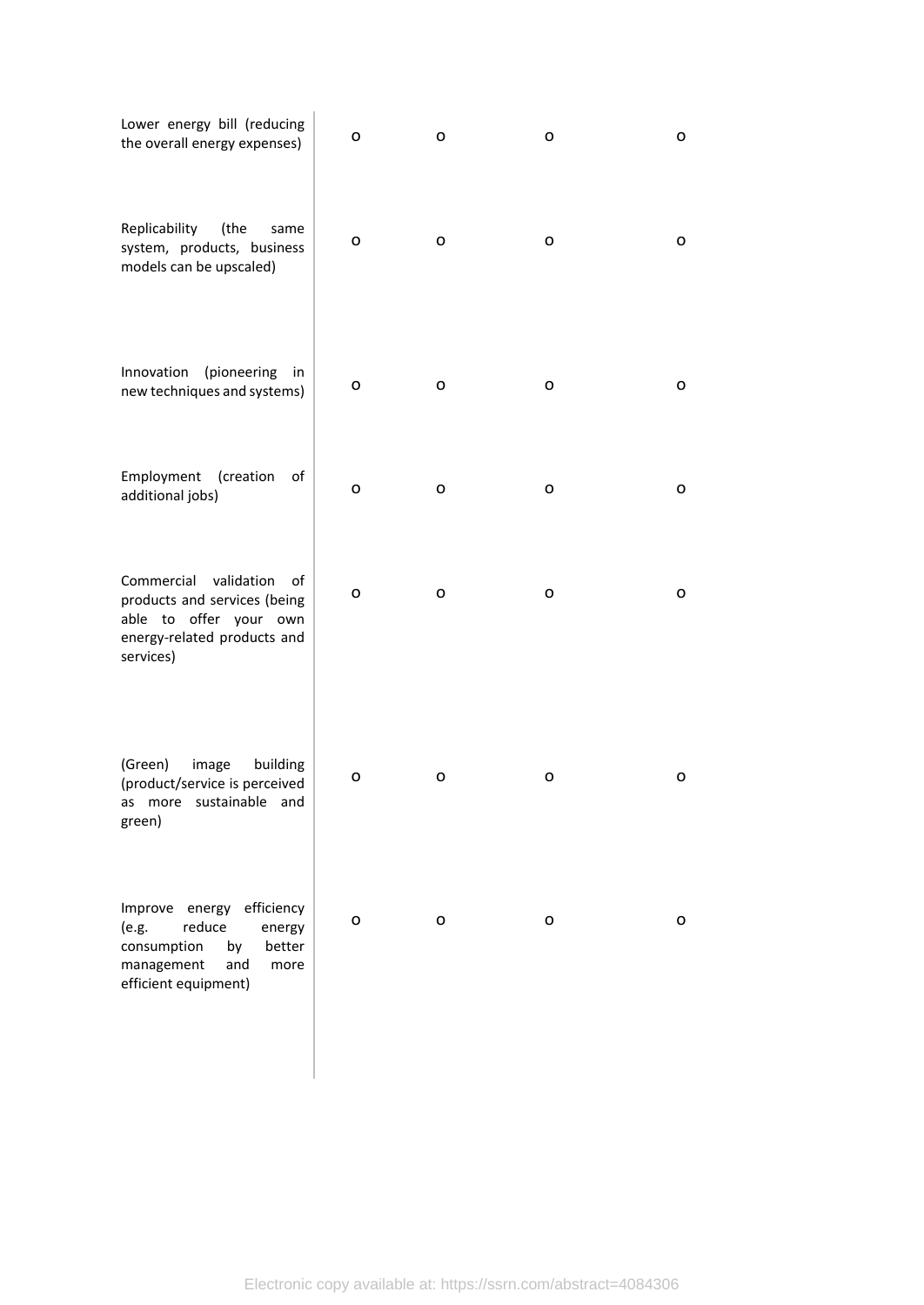| Lower energy bill (reducing<br>the overall energy expenses)                                                                                   | o | o | o | o |
|-----------------------------------------------------------------------------------------------------------------------------------------------|---|---|---|---|
| Replicability<br>(the<br>same<br>system, products, business<br>models can be upscaled)                                                        | o | o | o | o |
| Innovation<br>(pioneering<br>in<br>new techniques and systems)                                                                                | o | o | 0 | o |
| Employment<br>(creation<br>of<br>additional jobs)                                                                                             | O | o | o | o |
| Commercial validation<br>οf<br>products and services (being<br>able to offer your own<br>energy-related products and<br>services)             | o | o | o | o |
| (Green)<br>image<br>building<br>(product/service is perceived<br>as more sustainable and<br>green)                                            | o | o | o | o |
| energy efficiency<br>Improve<br>reduce<br>(e.g.<br>energy<br>consumption<br>better<br>by<br>management<br>and<br>more<br>efficient equipment) | o | o | o | o |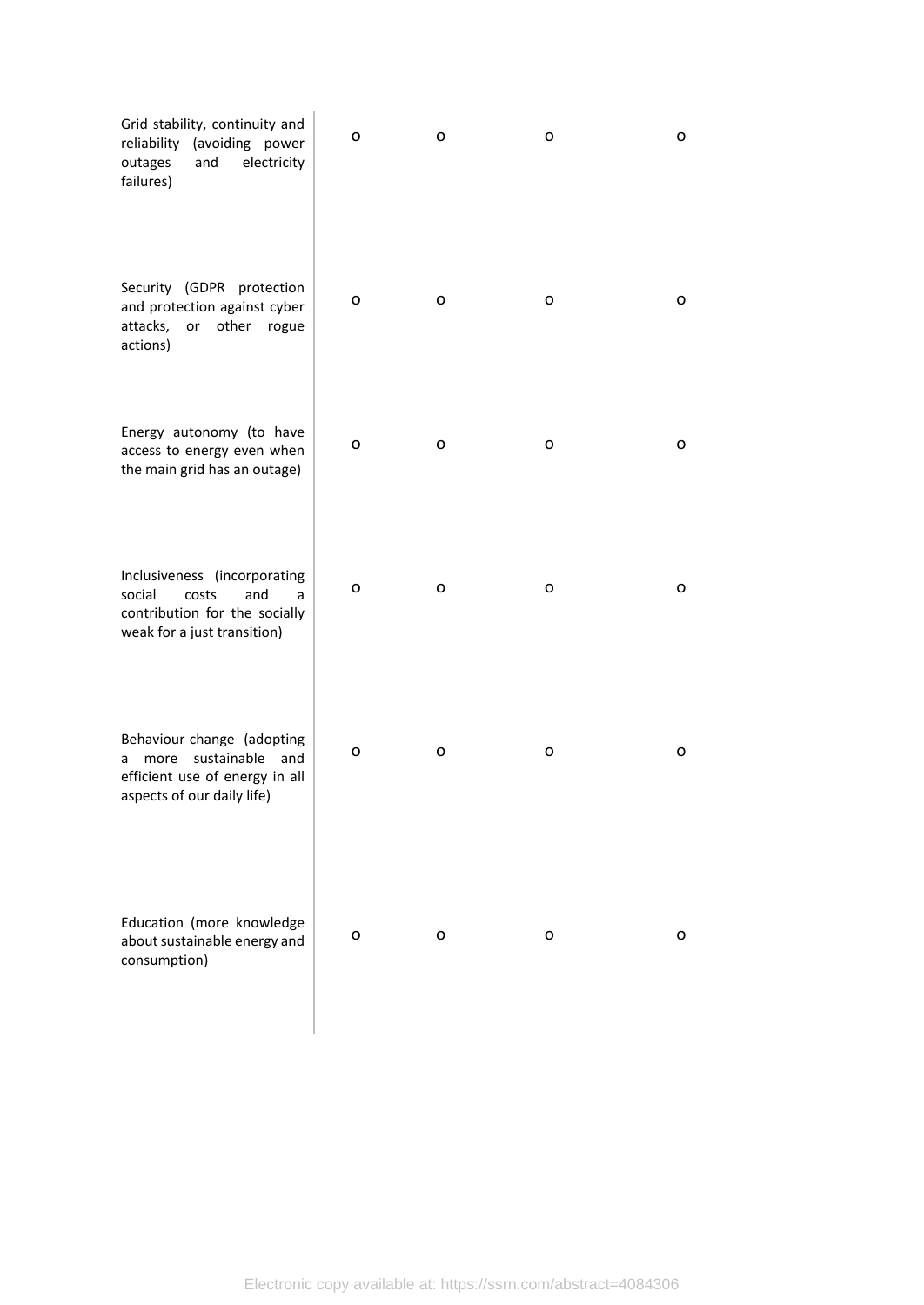| Grid stability, continuity and<br>reliability<br>(avoiding power<br>and<br>electricity<br>outages<br>failures)                | o | o | o | 0 |
|-------------------------------------------------------------------------------------------------------------------------------|---|---|---|---|
| Security (GDPR protection<br>and protection against cyber<br>attacks,<br>or other rogue<br>actions)                           | о | о | o | o |
| Energy autonomy (to have<br>access to energy even when<br>the main grid has an outage)                                        | о | о | o | 0 |
| Inclusiveness (incorporating<br>and<br>social<br>costs<br>a<br>contribution for the socially<br>weak for a just transition)   | о | o | o | o |
| Behaviour change (adopting<br>sustainable<br>and<br>more<br>a<br>efficient use of energy in all<br>aspects of our daily life) | o | o | о | o |
| Education (more knowledge<br>about sustainable energy and<br>consumption)                                                     | 0 | 0 | 0 | 0 |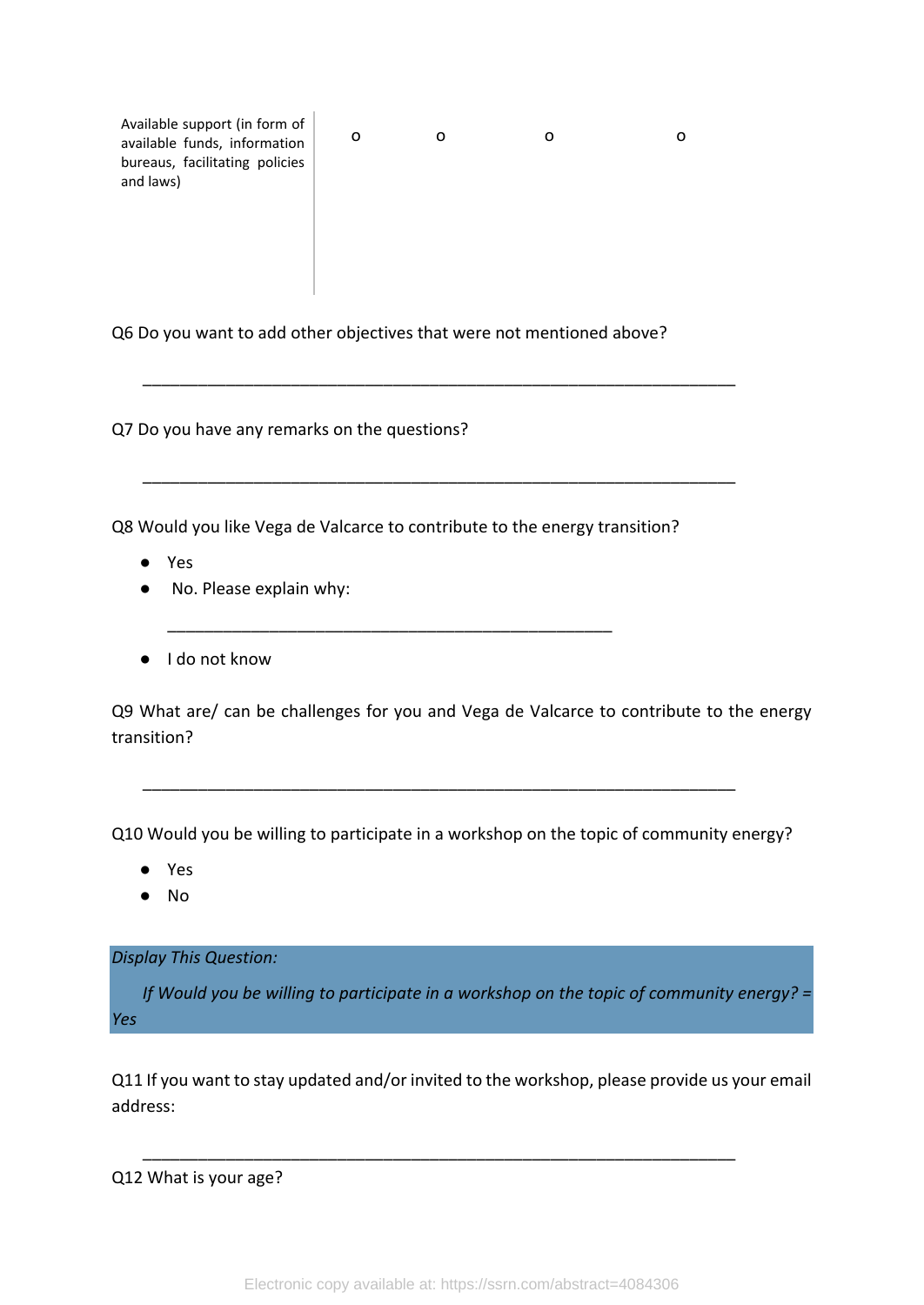Available support (in form of available funds, information bureaus, facilitating policies and laws) o o o o

Q6 Do you want to add other objectives that were not mentioned above?

\_\_\_\_\_\_\_\_\_\_\_\_\_\_\_\_\_\_\_\_\_\_\_\_\_\_\_\_\_\_\_\_\_\_\_\_\_\_\_\_\_\_\_\_\_\_\_\_\_\_\_\_\_\_\_\_\_\_\_\_\_\_\_\_

\_\_\_\_\_\_\_\_\_\_\_\_\_\_\_\_\_\_\_\_\_\_\_\_\_\_\_\_\_\_\_\_\_\_\_\_\_\_\_\_\_\_\_\_\_\_\_\_\_\_\_\_\_\_\_\_\_\_\_\_\_\_\_\_

Q7 Do you have any remarks on the questions?

Q8 Would you like Vega de Valcarce to contribute to the energy transition?

\_\_\_\_\_\_\_\_\_\_\_\_\_\_\_\_\_\_\_\_\_\_\_\_\_\_\_\_\_\_\_\_\_\_\_\_\_\_\_\_\_\_\_\_\_\_\_\_

- Yes
- No. Please explain why:
- I do not know

Q9 What are/ can be challenges for you and Vega de Valcarce to contribute to the energy transition?

Q10 Would you be willing to participate in a workshop on the topic of community energy?

\_\_\_\_\_\_\_\_\_\_\_\_\_\_\_\_\_\_\_\_\_\_\_\_\_\_\_\_\_\_\_\_\_\_\_\_\_\_\_\_\_\_\_\_\_\_\_\_\_\_\_\_\_\_\_\_\_\_\_\_\_\_\_\_

- Yes
- No

*Display This Question:*

*If Would you be willing to participate in a workshop on the topic of community energy? = Yes*

Q11 If you want to stay updated and/or invited to the workshop, please provide us your email address:

\_\_\_\_\_\_\_\_\_\_\_\_\_\_\_\_\_\_\_\_\_\_\_\_\_\_\_\_\_\_\_\_\_\_\_\_\_\_\_\_\_\_\_\_\_\_\_\_\_\_\_\_\_\_\_\_\_\_\_\_\_\_\_\_

Q12 What is your age?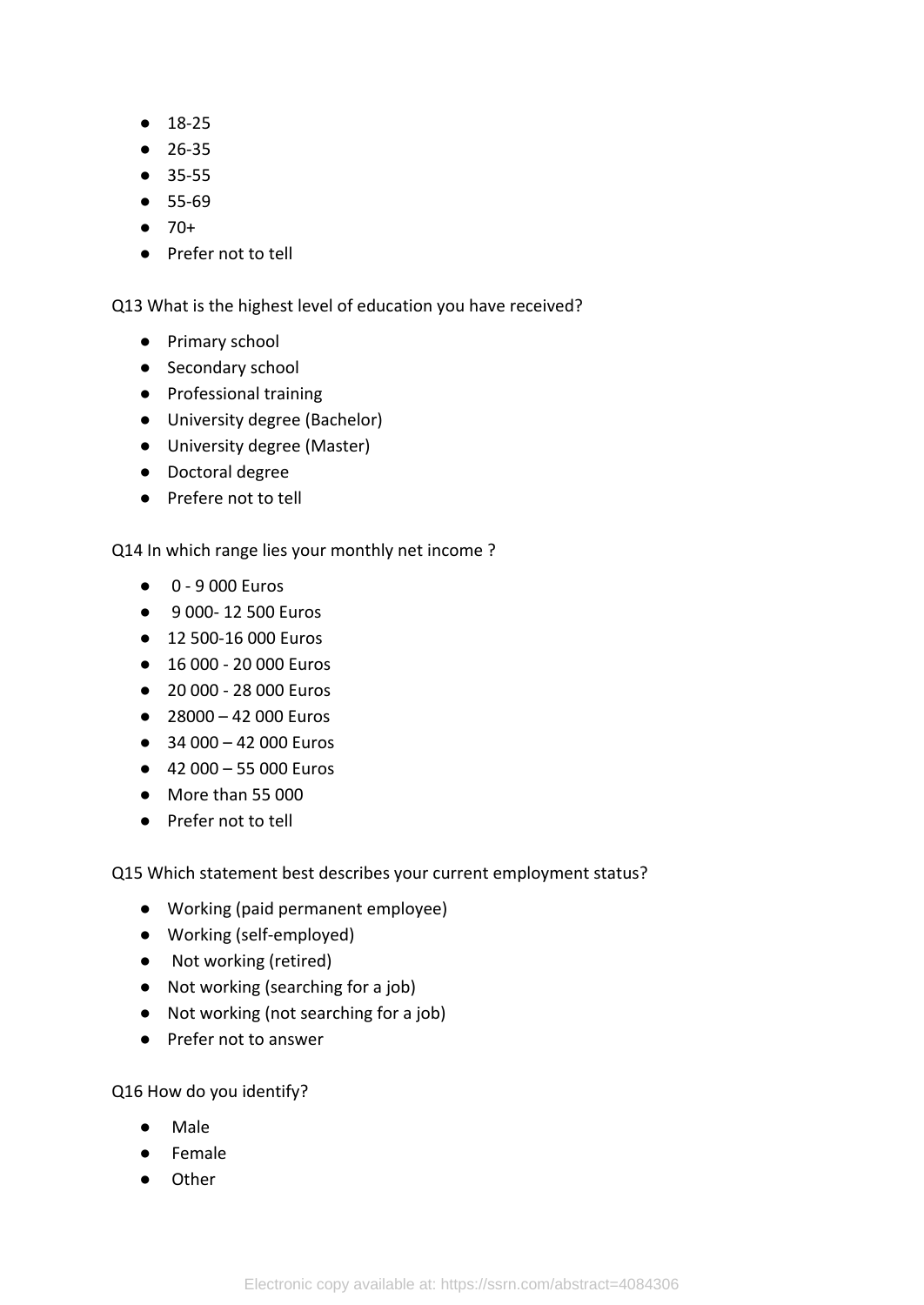- 18-25
- 26-35
- 35-55
- 55-69
- $70+$
- Prefer not to tell

Q13 What is the highest level of education you have received?

- Primary school
- Secondary school
- Professional training
- University degree (Bachelor)
- University degree (Master)
- Doctoral degree
- Prefere not to tell

Q14 In which range lies your monthly net income ?

- 0 9 000 Euros
- 9 000- 12 500 Euros
- 12 500-16 000 Euros
- 16 000 20 000 Euros
- 20 000 28 000 Euros
- $\bullet$  28000 42 000 Euros
- $\bullet$  34 000 42 000 Euros
- $-42000 55000$  Euros
- More than 55 000
- Prefer not to tell

Q15 Which statement best describes your current employment status?

- Working (paid permanent employee)
- Working (self-employed)
- Not working (retired)
- Not working (searching for a job)
- Not working (not searching for a job)
- Prefer not to answer

Q16 How do you identify?

- Male
- Female
- Other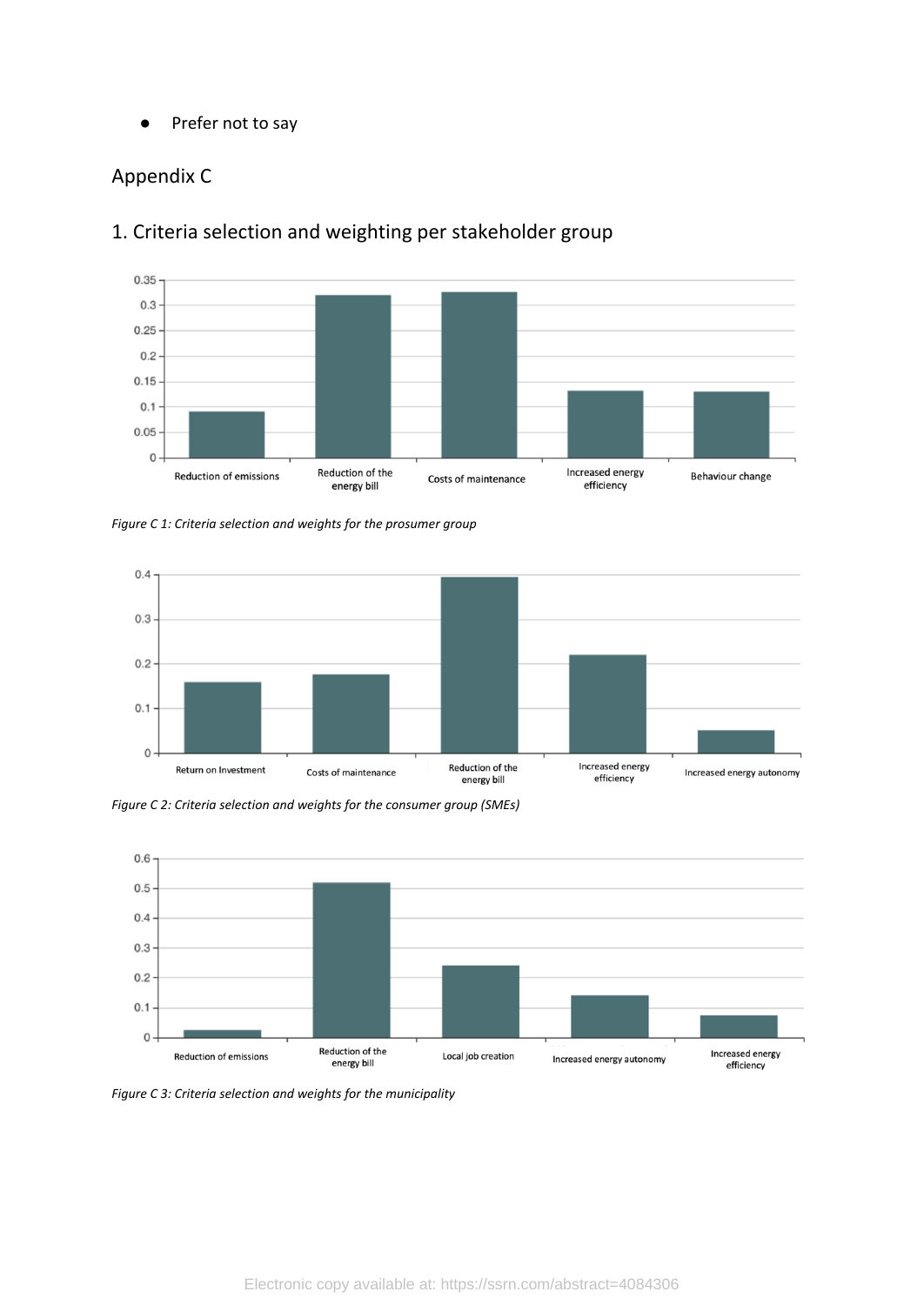● Prefer not to say

### <span id="page-24-0"></span>Appendix C



### 1. Criteria selection and weighting per stakeholder group

<span id="page-24-1"></span>*Figure C 1: Criteria selection and weights for the prosumer group*



*Figure C 2: Criteria selection and weights for the consumer group (SMEs)*



*Figure C 3: Criteria selection and weights for the municipality*